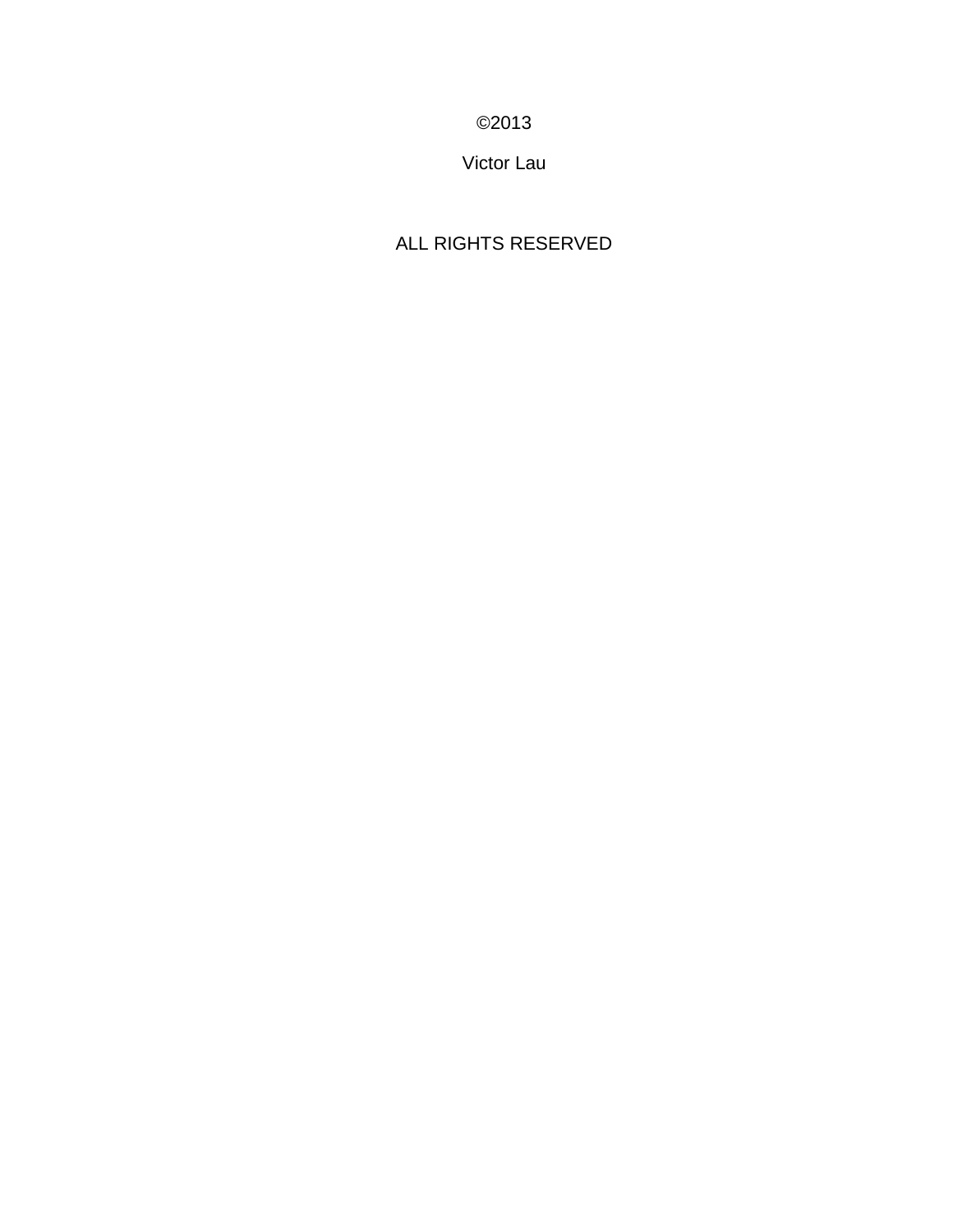©2013

Victor Lau

# ALL RIGHTS RESERVED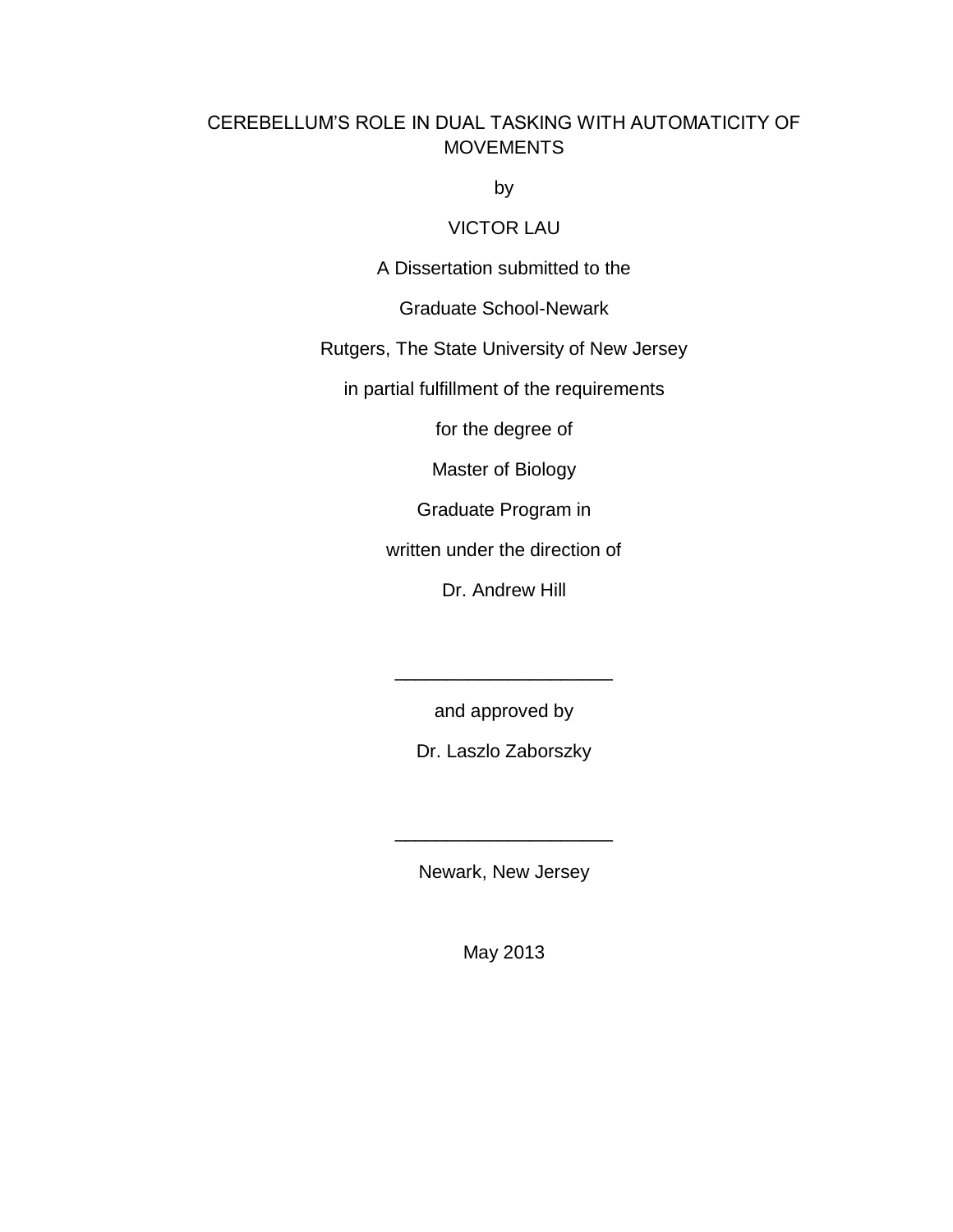# CEREBELLUM'S ROLE IN DUAL TASKING WITH AUTOMATICITY OF **MOVEMENTS**

by

# VICTOR LAU

A Dissertation submitted to the

Graduate School-Newark

Rutgers, The State University of New Jersey

in partial fulfillment of the requirements

for the degree of

Master of Biology

Graduate Program in

written under the direction of

Dr. Andrew Hill

and approved by

\_\_\_\_\_\_\_\_\_\_\_\_\_\_\_\_\_\_\_\_\_

Dr. Laszlo Zaborszky

Newark, New Jersey

\_\_\_\_\_\_\_\_\_\_\_\_\_\_\_\_\_\_\_\_\_

May 2013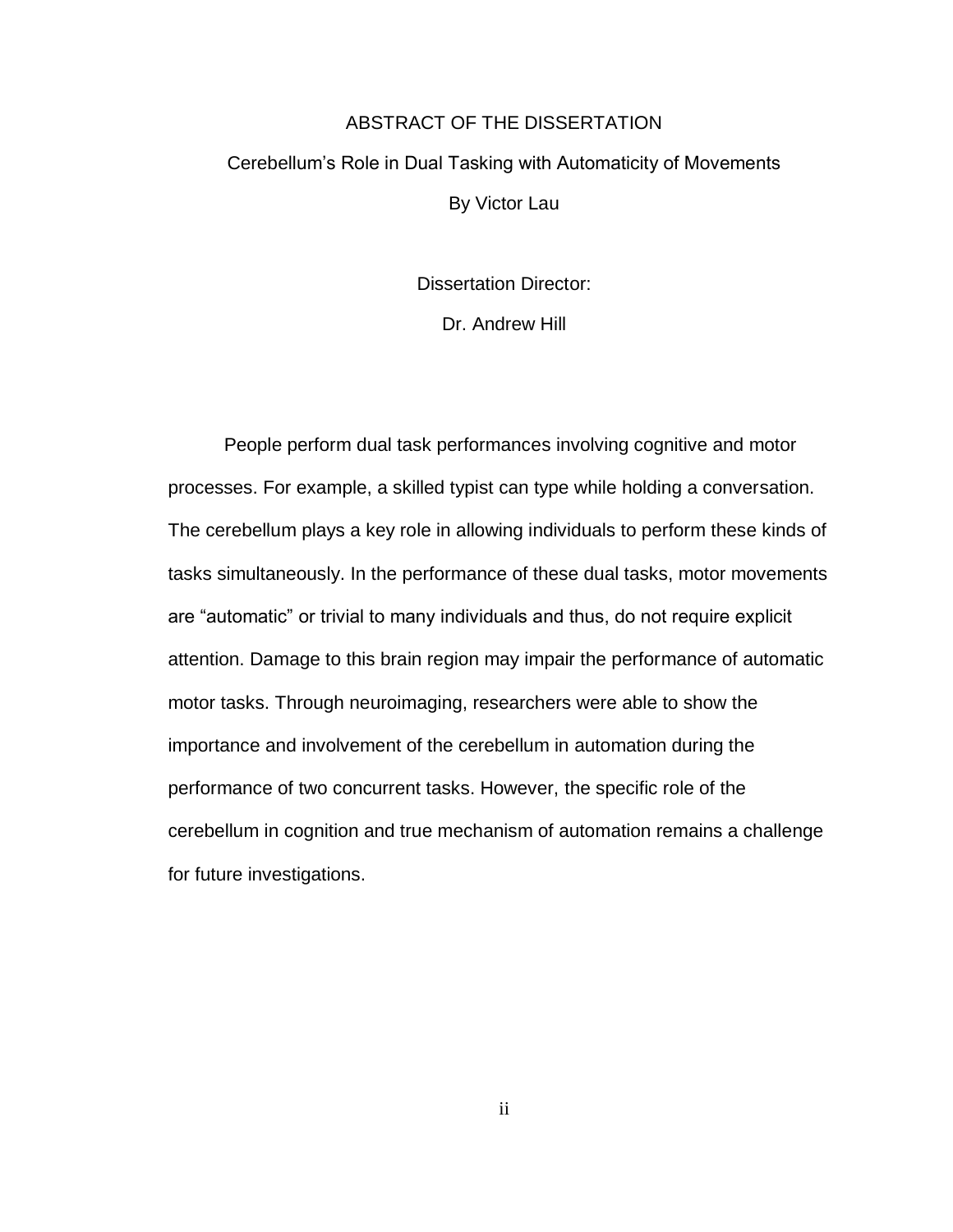# ABSTRACT OF THE DISSERTATION Cerebellum's Role in Dual Tasking with Automaticity of Movements By Victor Lau

Dissertation Director:

Dr. Andrew Hill

People perform dual task performances involving cognitive and motor processes. For example, a skilled typist can type while holding a conversation. The cerebellum plays a key role in allowing individuals to perform these kinds of tasks simultaneously. In the performance of these dual tasks, motor movements are "automatic" or trivial to many individuals and thus, do not require explicit attention. Damage to this brain region may impair the performance of automatic motor tasks. Through neuroimaging, researchers were able to show the importance and involvement of the cerebellum in automation during the performance of two concurrent tasks. However, the specific role of the cerebellum in cognition and true mechanism of automation remains a challenge for future investigations.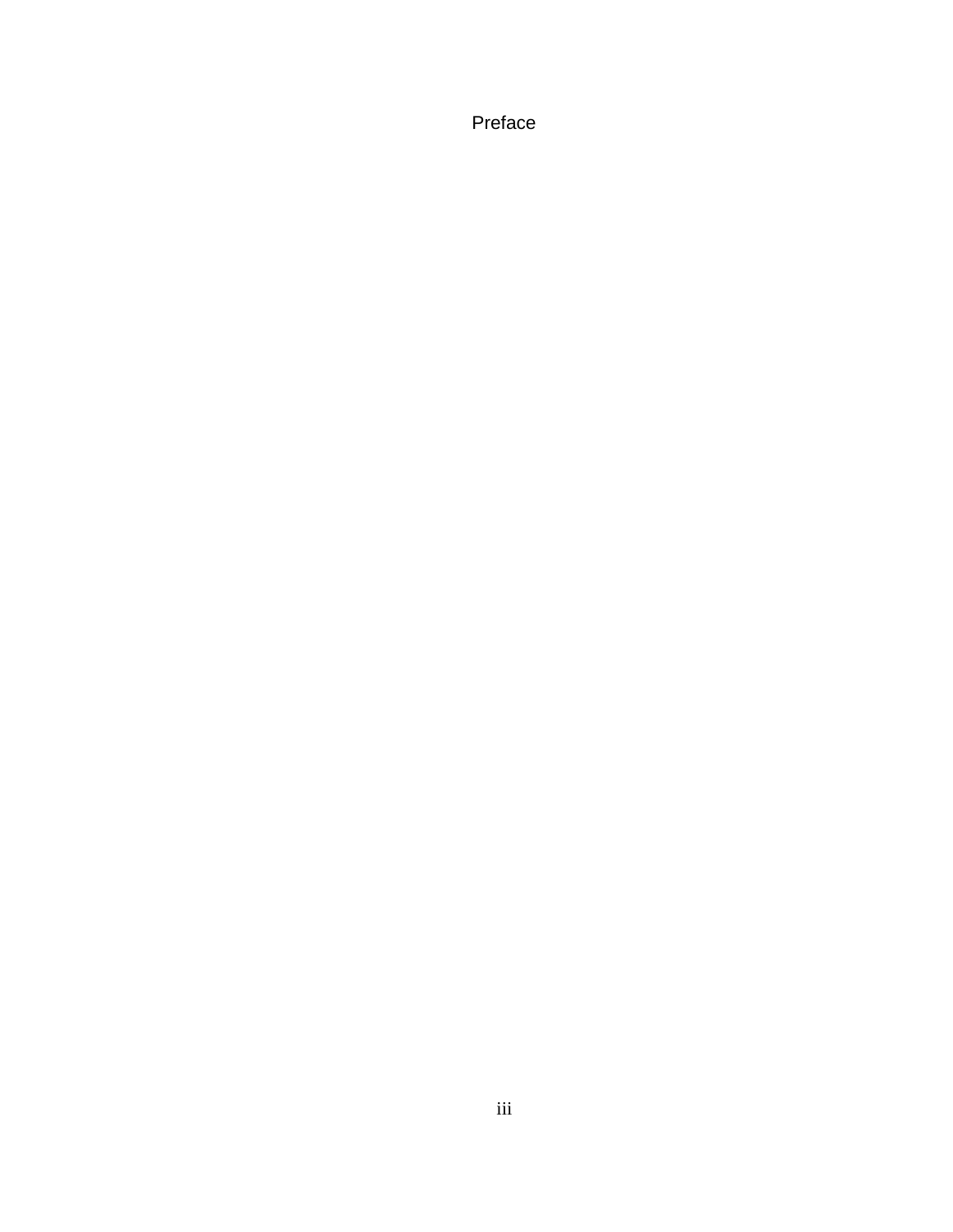Preface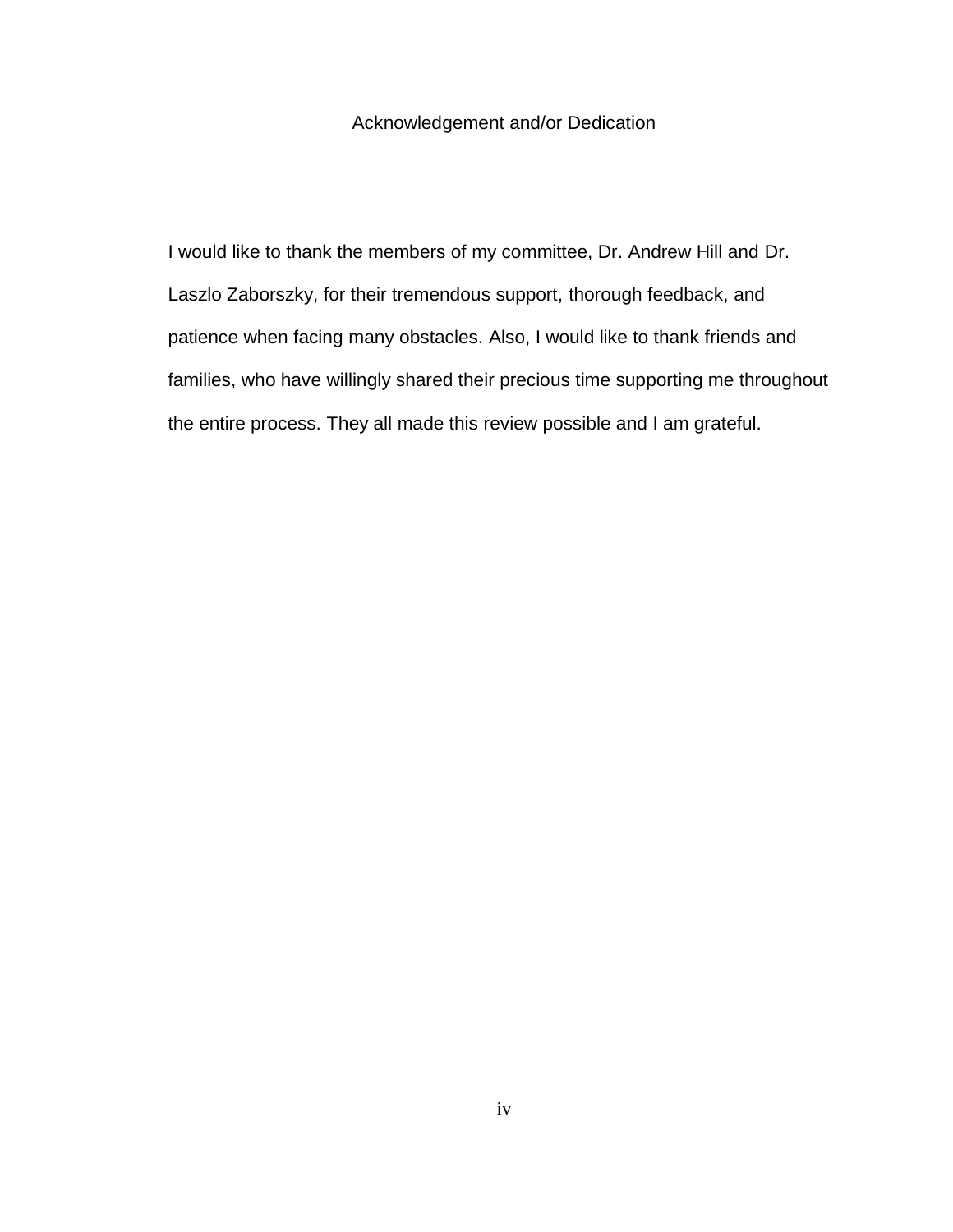# Acknowledgement and/or Dedication

I would like to thank the members of my committee, Dr. Andrew Hill and Dr. Laszlo Zaborszky, for their tremendous support, thorough feedback, and patience when facing many obstacles. Also, I would like to thank friends and families, who have willingly shared their precious time supporting me throughout the entire process. They all made this review possible and I am grateful.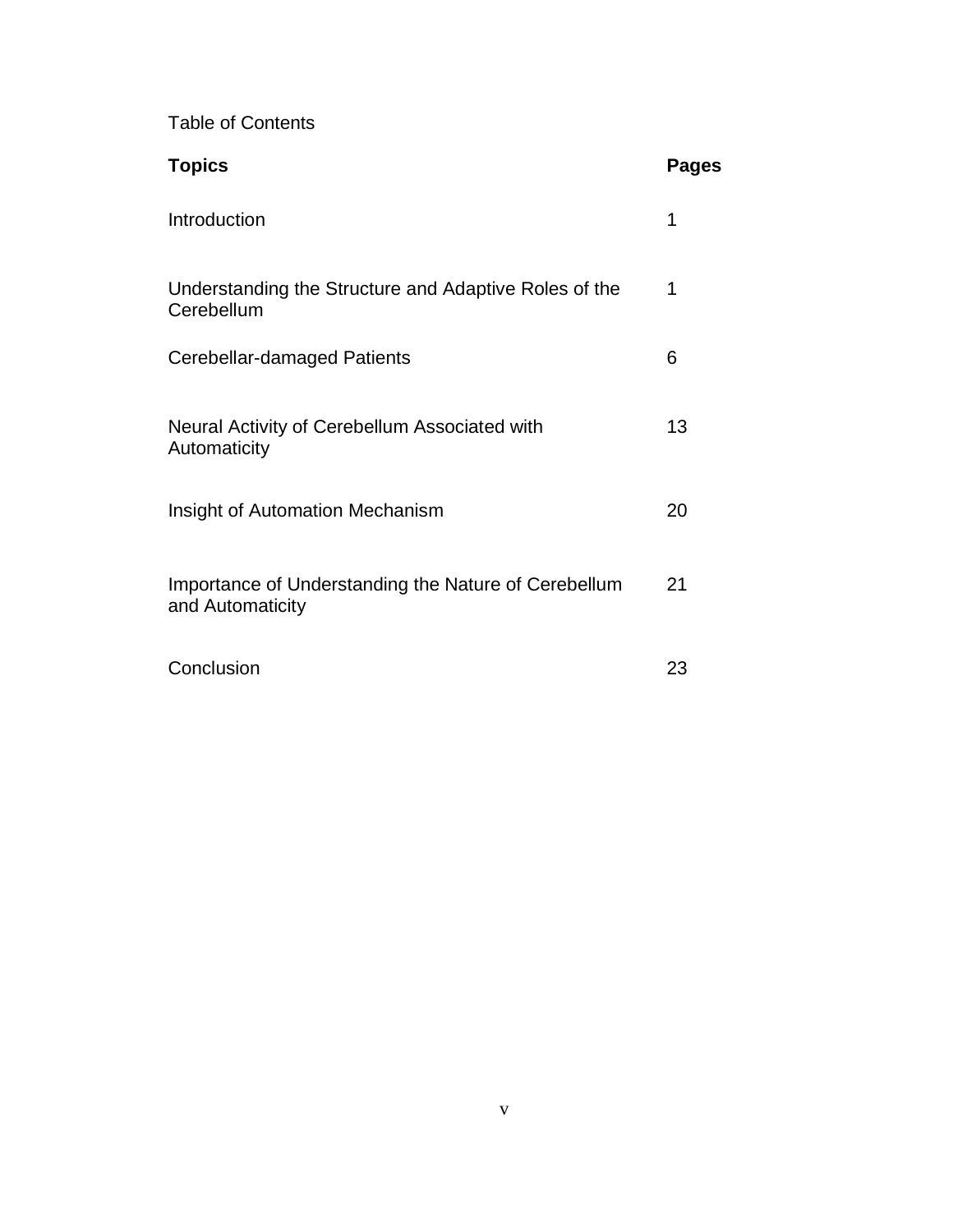Table of Contents

| <b>Topics</b>                                                            | <b>Pages</b> |
|--------------------------------------------------------------------------|--------------|
| Introduction                                                             | 1            |
| Understanding the Structure and Adaptive Roles of the<br>Cerebellum      | 1            |
| Cerebellar-damaged Patients                                              | 6            |
| Neural Activity of Cerebellum Associated with<br>Automaticity            | 13           |
| Insight of Automation Mechanism                                          | 20           |
| Importance of Understanding the Nature of Cerebellum<br>and Automaticity | 21           |
| Conclusion                                                               | 23           |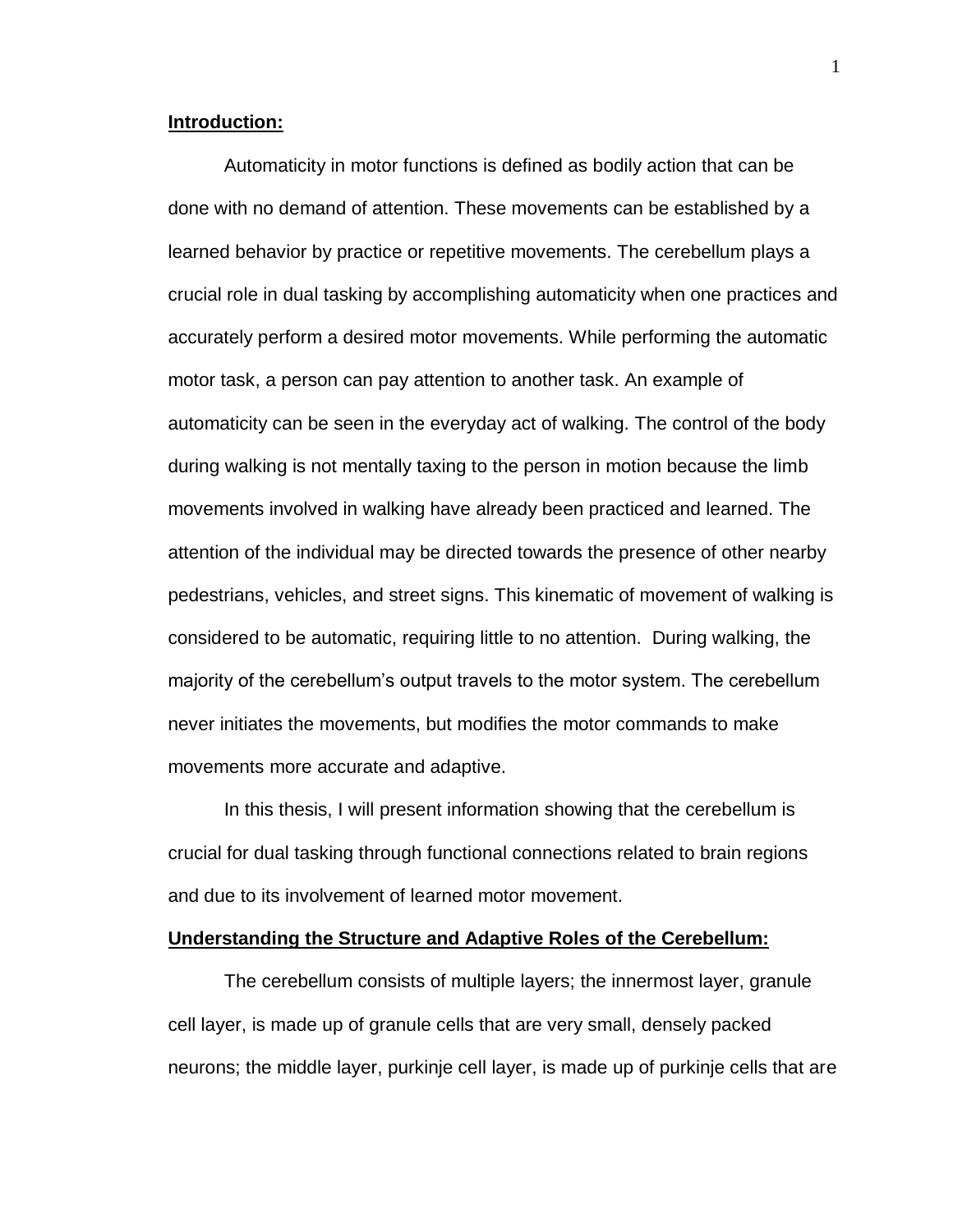### **Introduction:**

Automaticity in motor functions is defined as bodily action that can be done with no demand of attention. These movements can be established by a learned behavior by practice or repetitive movements. The cerebellum plays a crucial role in dual tasking by accomplishing automaticity when one practices and accurately perform a desired motor movements. While performing the automatic motor task, a person can pay attention to another task. An example of automaticity can be seen in the everyday act of walking. The control of the body during walking is not mentally taxing to the person in motion because the limb movements involved in walking have already been practiced and learned. The attention of the individual may be directed towards the presence of other nearby pedestrians, vehicles, and street signs. This kinematic of movement of walking is considered to be automatic, requiring little to no attention. During walking, the majority of the cerebellum's output travels to the motor system. The cerebellum never initiates the movements, but modifies the motor commands to make movements more accurate and adaptive.

In this thesis, I will present information showing that the cerebellum is crucial for dual tasking through functional connections related to brain regions and due to its involvement of learned motor movement.

# **Understanding the Structure and Adaptive Roles of the Cerebellum:**

The cerebellum consists of multiple layers; the innermost layer, granule cell layer, is made up of granule cells that are very small, densely packed neurons; the middle layer, purkinje cell layer, is made up of purkinje cells that are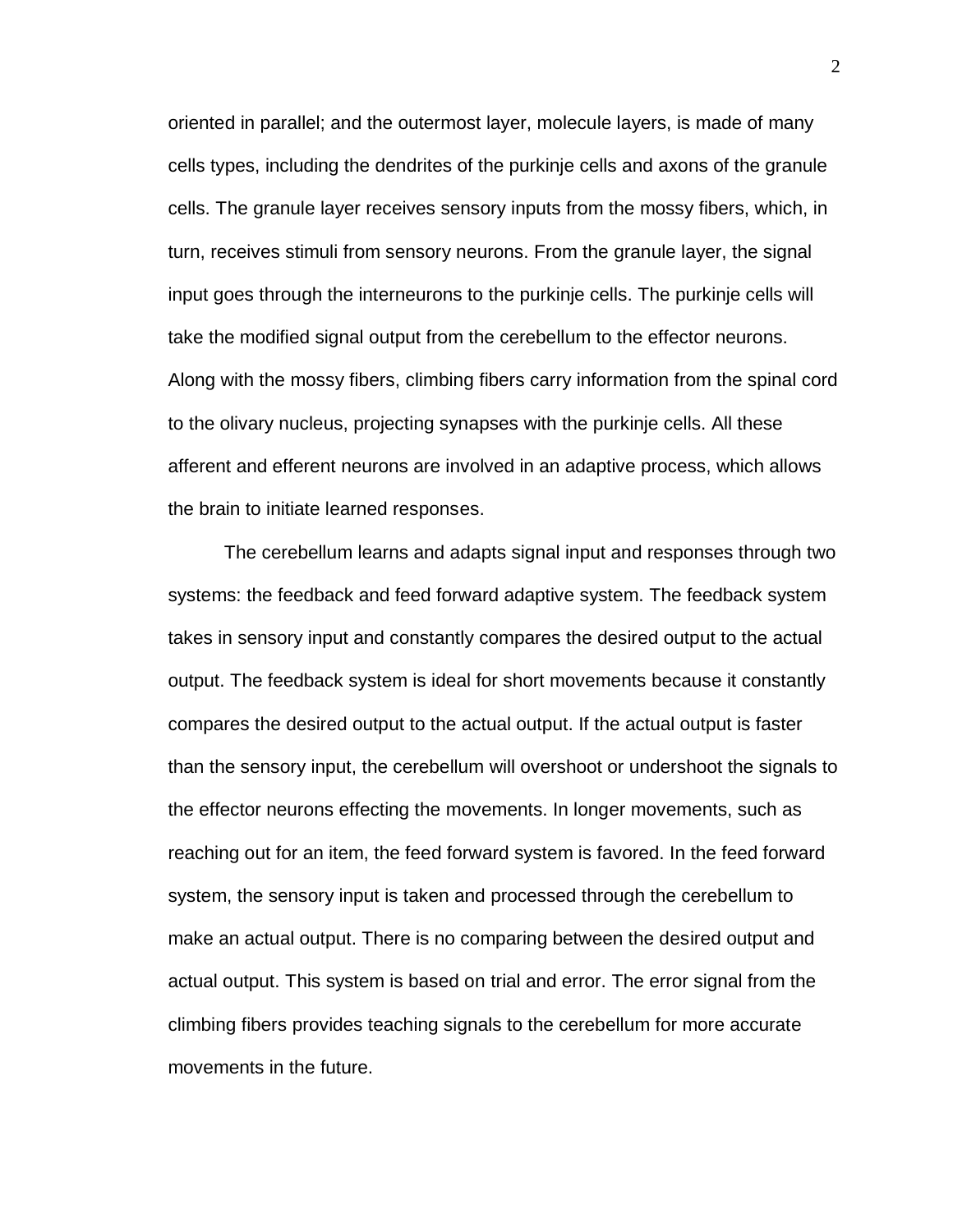oriented in parallel; and the outermost layer, molecule layers, is made of many cells types, including the dendrites of the purkinje cells and axons of the granule cells. The granule layer receives sensory inputs from the mossy fibers, which, in turn, receives stimuli from sensory neurons. From the granule layer, the signal input goes through the interneurons to the purkinje cells. The purkinje cells will take the modified signal output from the cerebellum to the effector neurons. Along with the mossy fibers, climbing fibers carry information from the spinal cord to the olivary nucleus, projecting synapses with the purkinje cells. All these afferent and efferent neurons are involved in an adaptive process, which allows the brain to initiate learned responses.

The cerebellum learns and adapts signal input and responses through two systems: the feedback and feed forward adaptive system. The feedback system takes in sensory input and constantly compares the desired output to the actual output. The feedback system is ideal for short movements because it constantly compares the desired output to the actual output. If the actual output is faster than the sensory input, the cerebellum will overshoot or undershoot the signals to the effector neurons effecting the movements. In longer movements, such as reaching out for an item, the feed forward system is favored. In the feed forward system, the sensory input is taken and processed through the cerebellum to make an actual output. There is no comparing between the desired output and actual output. This system is based on trial and error. The error signal from the climbing fibers provides teaching signals to the cerebellum for more accurate movements in the future.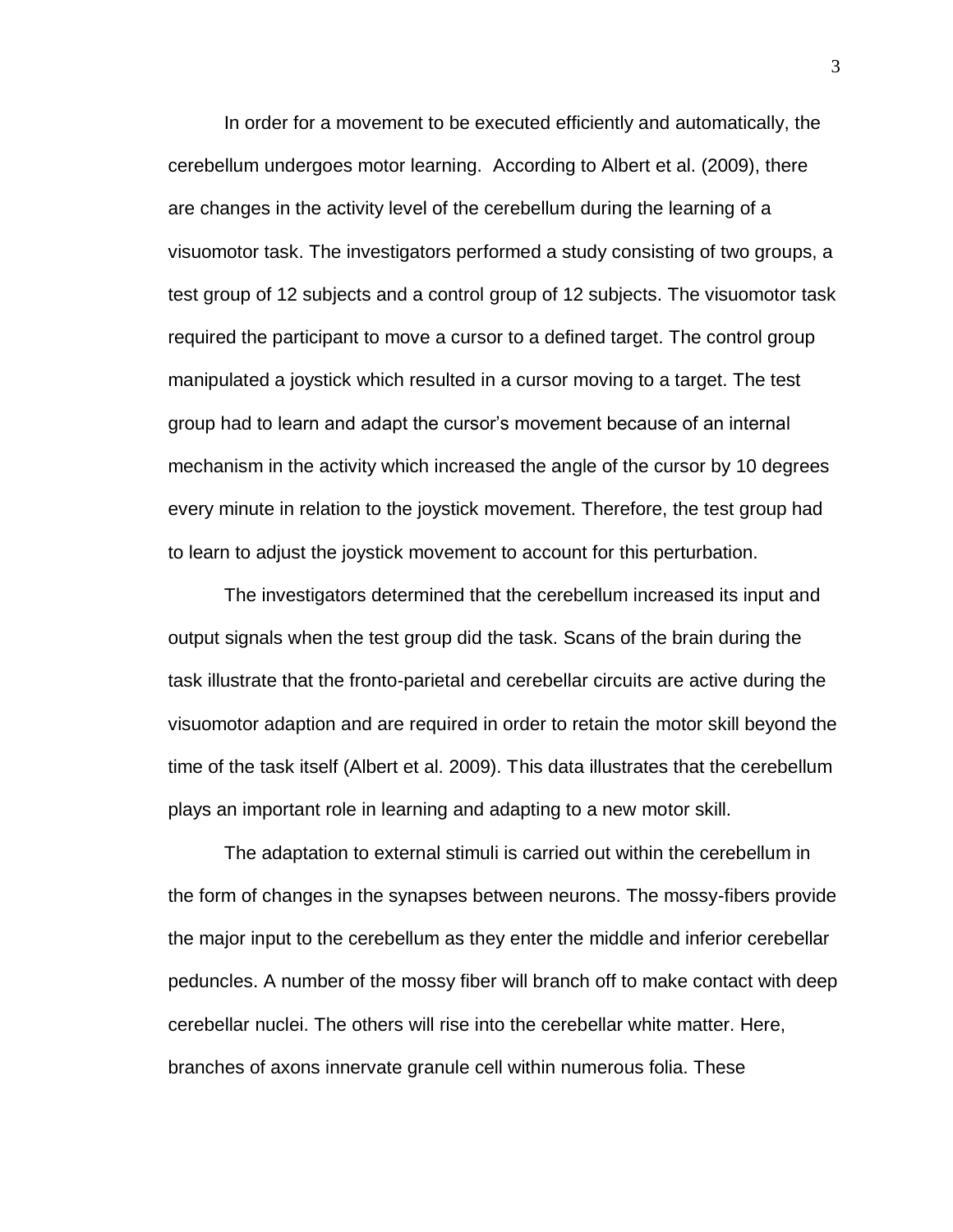In order for a movement to be executed efficiently and automatically, the cerebellum undergoes motor learning. According to Albert et al. (2009), there are changes in the activity level of the cerebellum during the learning of a visuomotor task. The investigators performed a study consisting of two groups, a test group of 12 subjects and a control group of 12 subjects. The visuomotor task required the participant to move a cursor to a defined target. The control group manipulated a joystick which resulted in a cursor moving to a target. The test group had to learn and adapt the cursor's movement because of an internal mechanism in the activity which increased the angle of the cursor by 10 degrees every minute in relation to the joystick movement. Therefore, the test group had to learn to adjust the joystick movement to account for this perturbation.

The investigators determined that the cerebellum increased its input and output signals when the test group did the task. Scans of the brain during the task illustrate that the fronto-parietal and cerebellar circuits are active during the visuomotor adaption and are required in order to retain the motor skill beyond the time of the task itself (Albert et al. 2009). This data illustrates that the cerebellum plays an important role in learning and adapting to a new motor skill.

The adaptation to external stimuli is carried out within the cerebellum in the form of changes in the synapses between neurons. The mossy-fibers provide the major input to the cerebellum as they enter the middle and inferior cerebellar peduncles. A number of the mossy fiber will branch off to make contact with deep cerebellar nuclei. The others will rise into the cerebellar white matter. Here, branches of axons innervate granule cell within numerous folia. These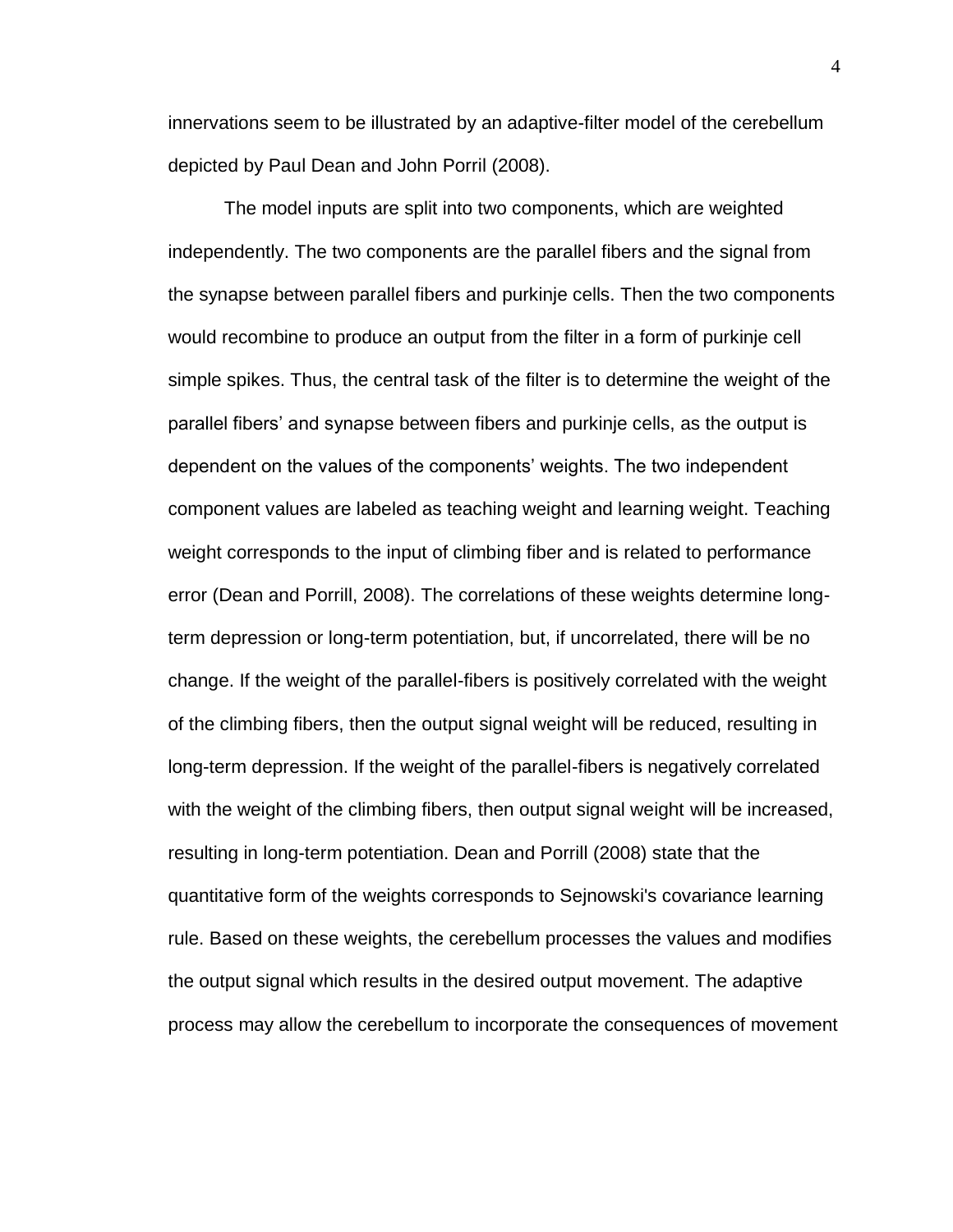innervations seem to be illustrated by an adaptive-filter model of the cerebellum depicted by Paul Dean and John Porril (2008).

The model inputs are split into two components, which are weighted independently. The two components are the parallel fibers and the signal from the synapse between parallel fibers and purkinje cells. Then the two components would recombine to produce an output from the filter in a form of purkinje cell simple spikes. Thus, the central task of the filter is to determine the weight of the parallel fibers' and synapse between fibers and purkinje cells, as the output is dependent on the values of the components' weights. The two independent component values are labeled as teaching weight and learning weight. Teaching weight corresponds to the input of climbing fiber and is related to performance error (Dean and Porrill, 2008). The correlations of these weights determine longterm depression or long-term potentiation, but, if uncorrelated, there will be no change. If the weight of the parallel-fibers is positively correlated with the weight of the climbing fibers, then the output signal weight will be reduced, resulting in long-term depression. If the weight of the parallel-fibers is negatively correlated with the weight of the climbing fibers, then output signal weight will be increased, resulting in long-term potentiation. Dean and Porrill (2008) state that the quantitative form of the weights corresponds to Sejnowski's covariance learning rule. Based on these weights, the cerebellum processes the values and modifies the output signal which results in the desired output movement. The adaptive process may allow the cerebellum to incorporate the consequences of movement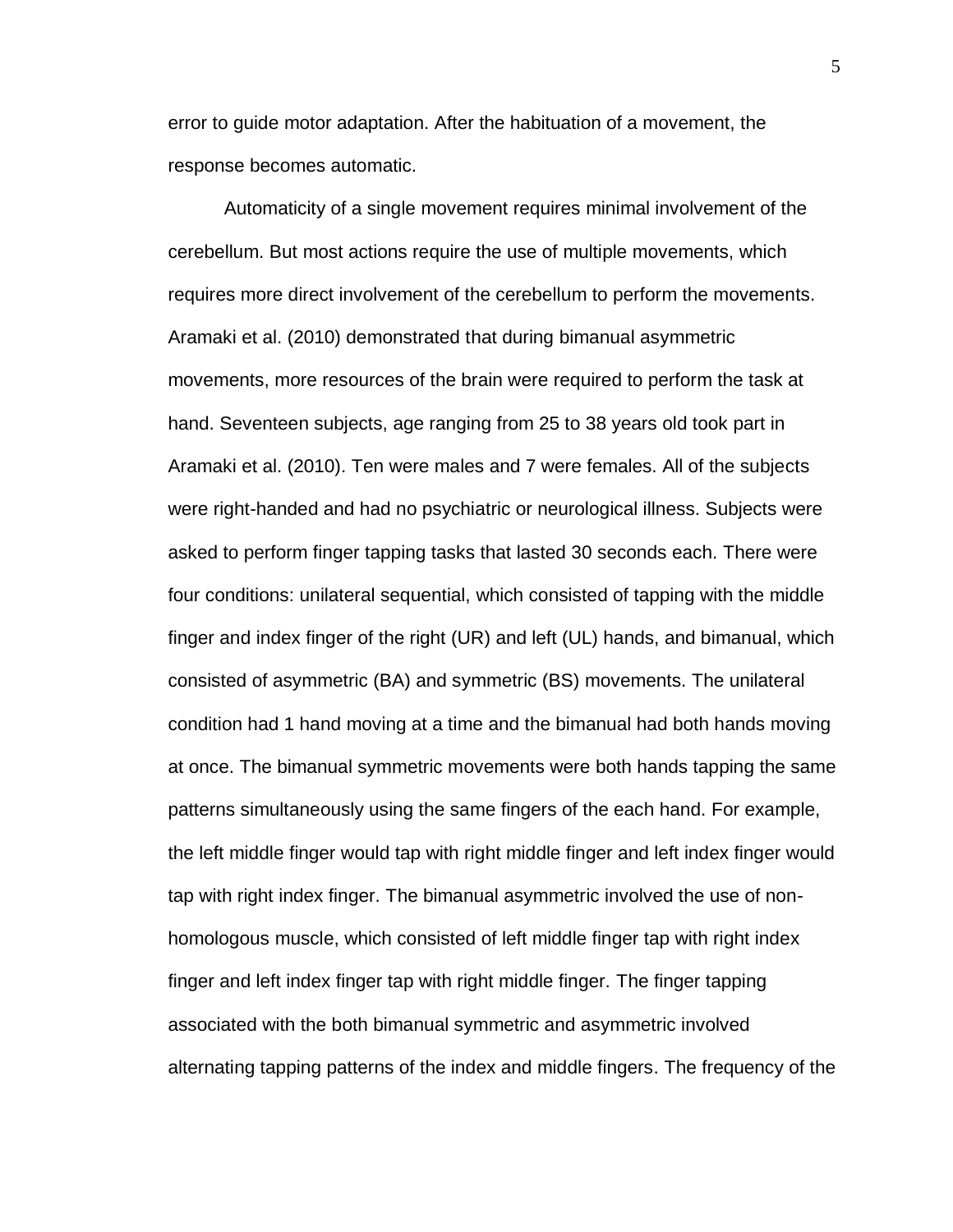error to guide motor adaptation. After the habituation of a movement, the response becomes automatic.

Automaticity of a single movement requires minimal involvement of the cerebellum. But most actions require the use of multiple movements, which requires more direct involvement of the cerebellum to perform the movements. Aramaki et al. (2010) demonstrated that during bimanual asymmetric movements, more resources of the brain were required to perform the task at hand. Seventeen subjects, age ranging from 25 to 38 years old took part in Aramaki et al. (2010). Ten were males and 7 were females. All of the subjects were right-handed and had no psychiatric or neurological illness. Subjects were asked to perform finger tapping tasks that lasted 30 seconds each. There were four conditions: unilateral sequential, which consisted of tapping with the middle finger and index finger of the right (UR) and left (UL) hands, and bimanual, which consisted of asymmetric (BA) and symmetric (BS) movements. The unilateral condition had 1 hand moving at a time and the bimanual had both hands moving at once. The bimanual symmetric movements were both hands tapping the same patterns simultaneously using the same fingers of the each hand. For example, the left middle finger would tap with right middle finger and left index finger would tap with right index finger. The bimanual asymmetric involved the use of nonhomologous muscle, which consisted of left middle finger tap with right index finger and left index finger tap with right middle finger. The finger tapping associated with the both bimanual symmetric and asymmetric involved alternating tapping patterns of the index and middle fingers. The frequency of the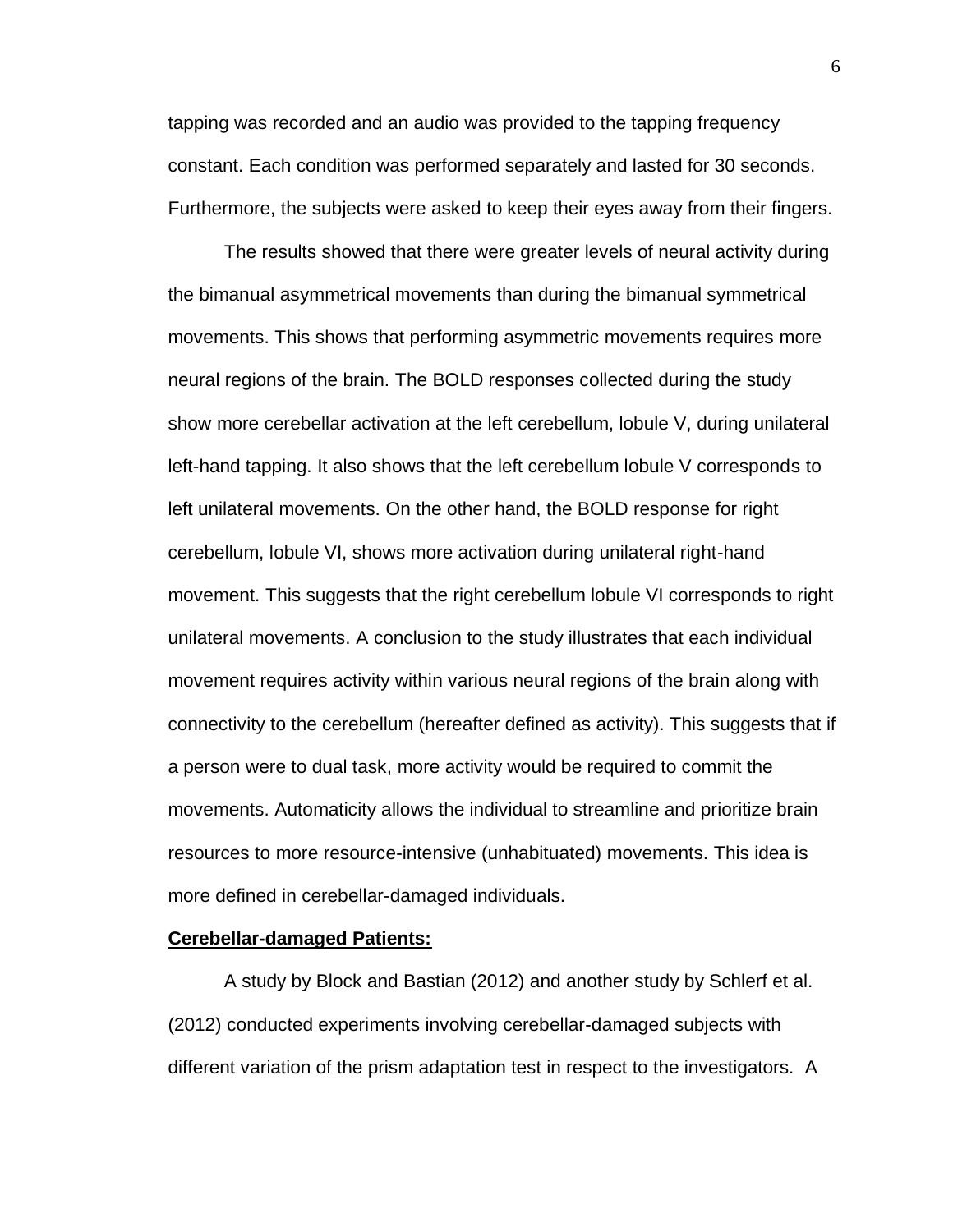tapping was recorded and an audio was provided to the tapping frequency constant. Each condition was performed separately and lasted for 30 seconds. Furthermore, the subjects were asked to keep their eyes away from their fingers.

The results showed that there were greater levels of neural activity during the bimanual asymmetrical movements than during the bimanual symmetrical movements. This shows that performing asymmetric movements requires more neural regions of the brain. The BOLD responses collected during the study show more cerebellar activation at the left cerebellum, lobule V, during unilateral left-hand tapping. It also shows that the left cerebellum lobule V corresponds to left unilateral movements. On the other hand, the BOLD response for right cerebellum, lobule VI, shows more activation during unilateral right-hand movement. This suggests that the right cerebellum lobule VI corresponds to right unilateral movements. A conclusion to the study illustrates that each individual movement requires activity within various neural regions of the brain along with connectivity to the cerebellum (hereafter defined as activity). This suggests that if a person were to dual task, more activity would be required to commit the movements. Automaticity allows the individual to streamline and prioritize brain resources to more resource-intensive (unhabituated) movements. This idea is more defined in cerebellar-damaged individuals.

#### **Cerebellar-damaged Patients:**

A study by Block and Bastian (2012) and another study by Schlerf et al. (2012) conducted experiments involving cerebellar-damaged subjects with different variation of the prism adaptation test in respect to the investigators. A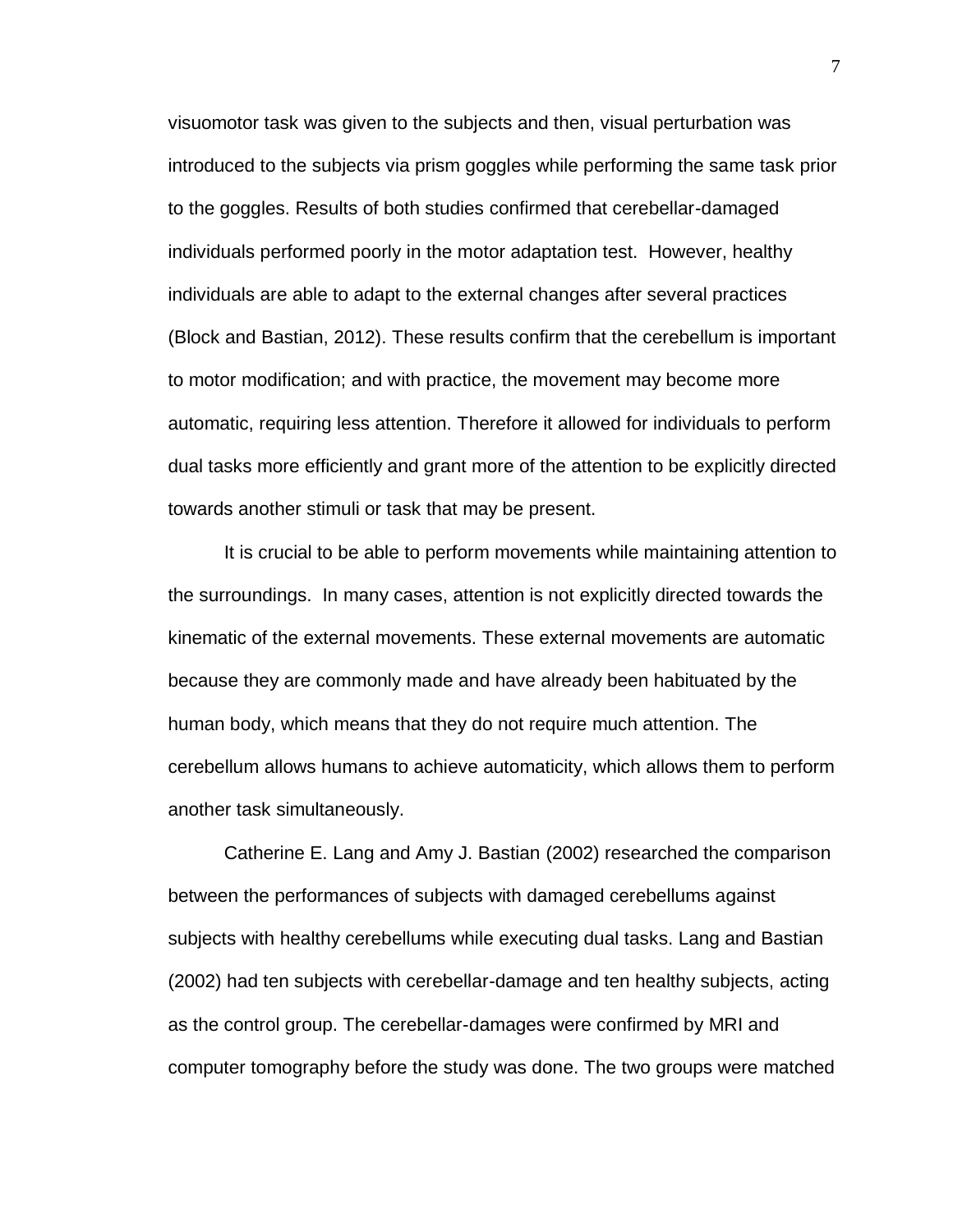visuomotor task was given to the subjects and then, visual perturbation was introduced to the subjects via prism goggles while performing the same task prior to the goggles. Results of both studies confirmed that cerebellar-damaged individuals performed poorly in the motor adaptation test. However, healthy individuals are able to adapt to the external changes after several practices (Block and Bastian, 2012). These results confirm that the cerebellum is important to motor modification; and with practice, the movement may become more automatic, requiring less attention. Therefore it allowed for individuals to perform dual tasks more efficiently and grant more of the attention to be explicitly directed towards another stimuli or task that may be present.

It is crucial to be able to perform movements while maintaining attention to the surroundings. In many cases, attention is not explicitly directed towards the kinematic of the external movements. These external movements are automatic because they are commonly made and have already been habituated by the human body, which means that they do not require much attention. The cerebellum allows humans to achieve automaticity, which allows them to perform another task simultaneously.

Catherine E. Lang and Amy J. Bastian (2002) researched the comparison between the performances of subjects with damaged cerebellums against subjects with healthy cerebellums while executing dual tasks. Lang and Bastian (2002) had ten subjects with cerebellar-damage and ten healthy subjects, acting as the control group. The cerebellar-damages were confirmed by MRI and computer tomography before the study was done. The two groups were matched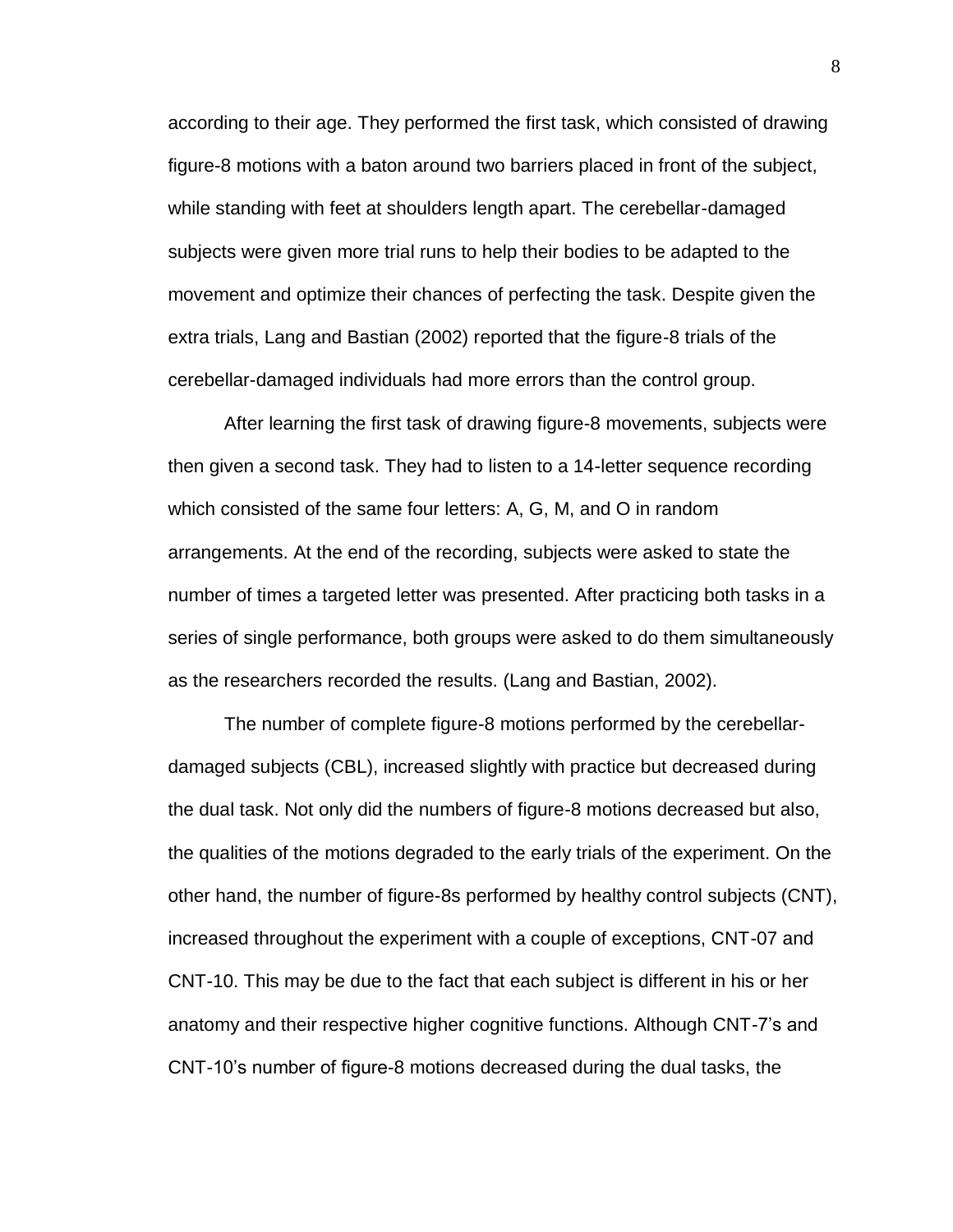according to their age. They performed the first task, which consisted of drawing figure-8 motions with a baton around two barriers placed in front of the subject, while standing with feet at shoulders length apart. The cerebellar-damaged subjects were given more trial runs to help their bodies to be adapted to the movement and optimize their chances of perfecting the task. Despite given the extra trials, Lang and Bastian (2002) reported that the figure-8 trials of the cerebellar-damaged individuals had more errors than the control group.

After learning the first task of drawing figure-8 movements, subjects were then given a second task. They had to listen to a 14-letter sequence recording which consisted of the same four letters: A, G, M, and O in random arrangements. At the end of the recording, subjects were asked to state the number of times a targeted letter was presented. After practicing both tasks in a series of single performance, both groups were asked to do them simultaneously as the researchers recorded the results. (Lang and Bastian, 2002).

The number of complete figure-8 motions performed by the cerebellardamaged subjects (CBL), increased slightly with practice but decreased during the dual task. Not only did the numbers of figure-8 motions decreased but also, the qualities of the motions degraded to the early trials of the experiment. On the other hand, the number of figure-8s performed by healthy control subjects (CNT), increased throughout the experiment with a couple of exceptions, CNT-07 and CNT-10. This may be due to the fact that each subject is different in his or her anatomy and their respective higher cognitive functions. Although CNT-7's and CNT-10's number of figure-8 motions decreased during the dual tasks, the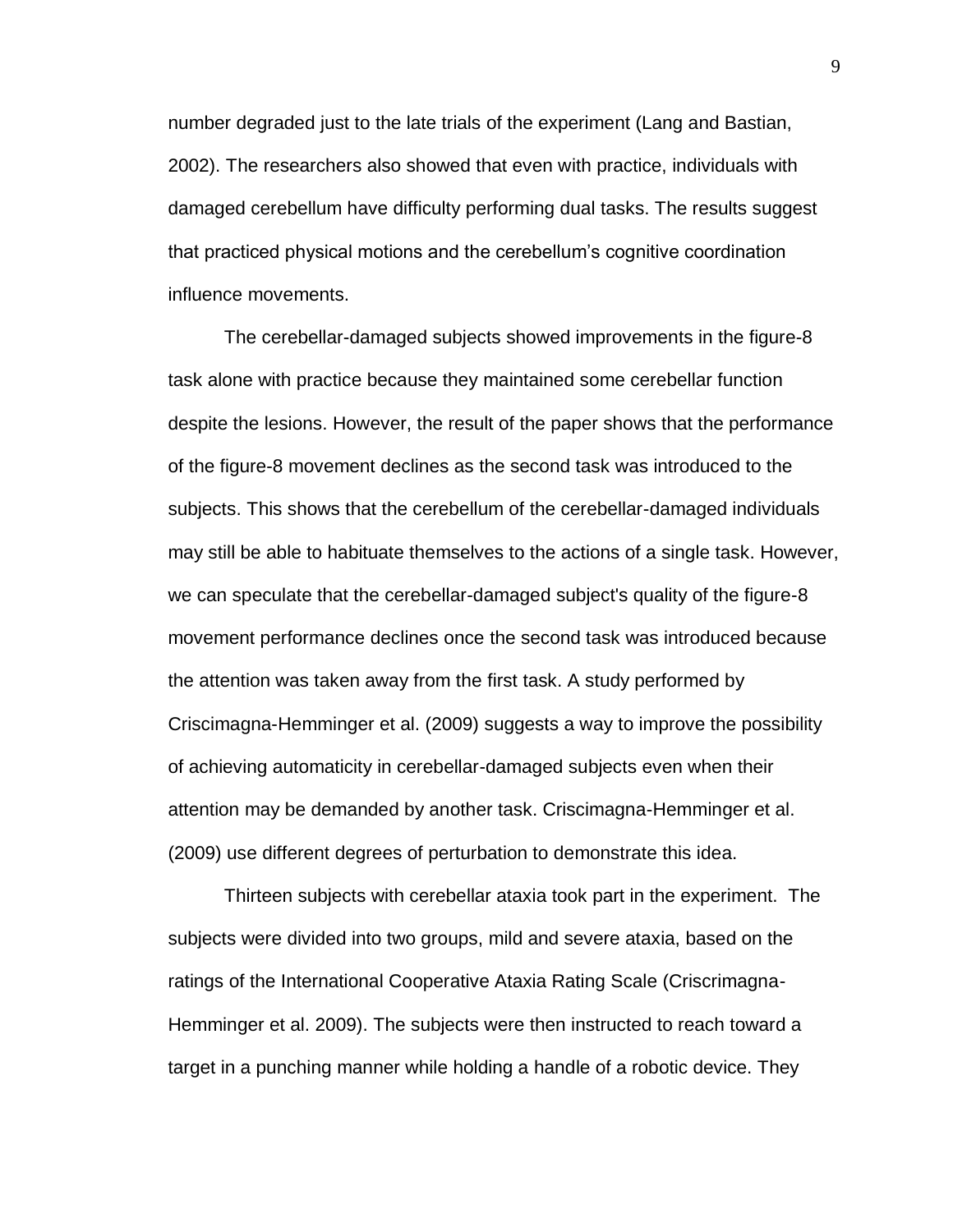number degraded just to the late trials of the experiment (Lang and Bastian, 2002). The researchers also showed that even with practice, individuals with damaged cerebellum have difficulty performing dual tasks. The results suggest that practiced physical motions and the cerebellum's cognitive coordination influence movements.

The cerebellar-damaged subjects showed improvements in the figure-8 task alone with practice because they maintained some cerebellar function despite the lesions. However, the result of the paper shows that the performance of the figure-8 movement declines as the second task was introduced to the subjects. This shows that the cerebellum of the cerebellar-damaged individuals may still be able to habituate themselves to the actions of a single task. However, we can speculate that the cerebellar-damaged subject's quality of the figure-8 movement performance declines once the second task was introduced because the attention was taken away from the first task. A study performed by Criscimagna-Hemminger et al. (2009) suggests a way to improve the possibility of achieving automaticity in cerebellar-damaged subjects even when their attention may be demanded by another task. Criscimagna-Hemminger et al. (2009) use different degrees of perturbation to demonstrate this idea.

Thirteen subjects with cerebellar ataxia took part in the experiment. The subjects were divided into two groups, mild and severe ataxia, based on the ratings of the International Cooperative Ataxia Rating Scale (Criscrimagna-Hemminger et al. 2009). The subjects were then instructed to reach toward a target in a punching manner while holding a handle of a robotic device. They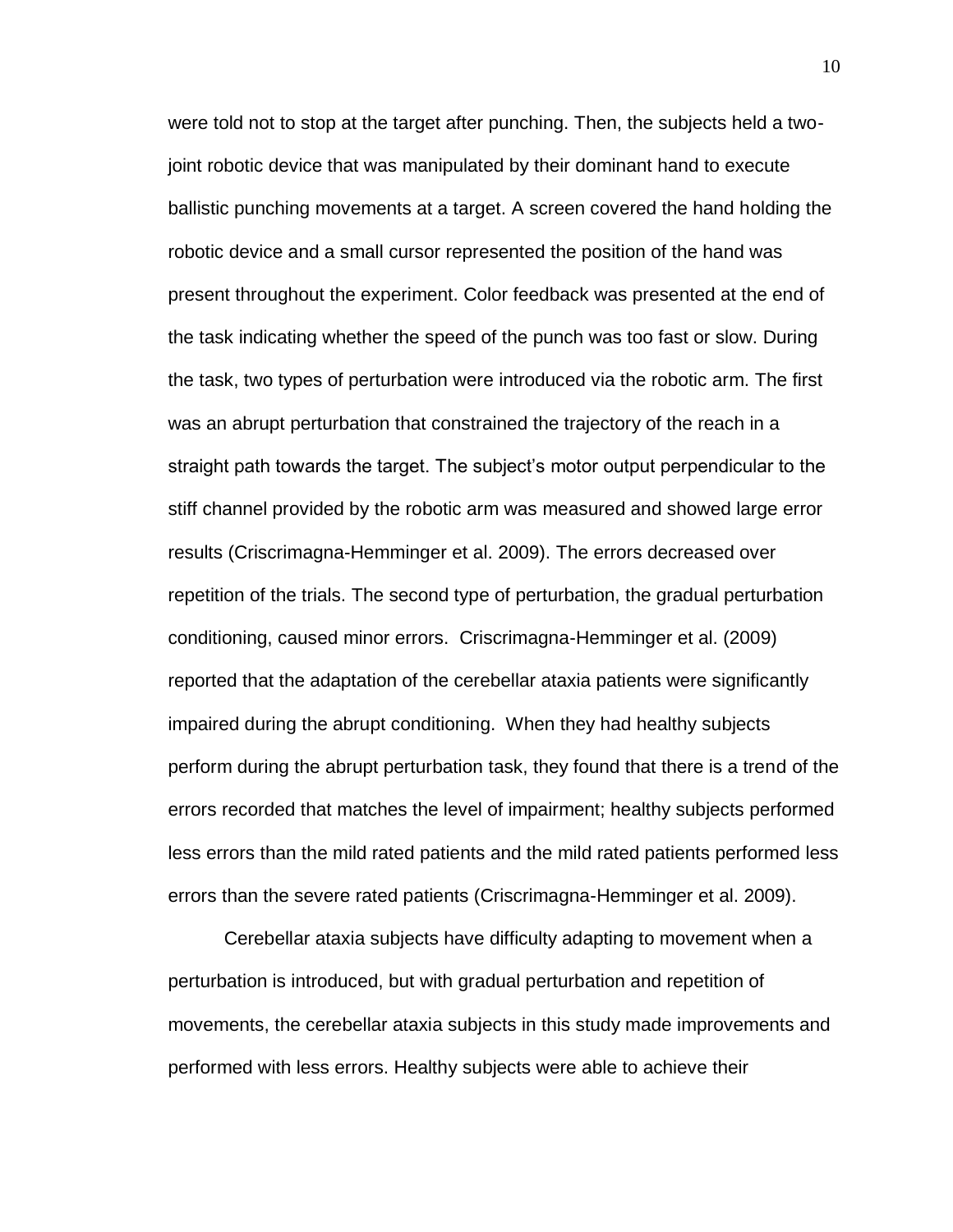were told not to stop at the target after punching. Then, the subjects held a twojoint robotic device that was manipulated by their dominant hand to execute ballistic punching movements at a target. A screen covered the hand holding the robotic device and a small cursor represented the position of the hand was present throughout the experiment. Color feedback was presented at the end of the task indicating whether the speed of the punch was too fast or slow. During the task, two types of perturbation were introduced via the robotic arm. The first was an abrupt perturbation that constrained the trajectory of the reach in a straight path towards the target. The subject's motor output perpendicular to the stiff channel provided by the robotic arm was measured and showed large error results (Criscrimagna-Hemminger et al. 2009). The errors decreased over repetition of the trials. The second type of perturbation, the gradual perturbation conditioning, caused minor errors. Criscrimagna-Hemminger et al. (2009) reported that the adaptation of the cerebellar ataxia patients were significantly impaired during the abrupt conditioning. When they had healthy subjects perform during the abrupt perturbation task, they found that there is a trend of the errors recorded that matches the level of impairment; healthy subjects performed less errors than the mild rated patients and the mild rated patients performed less errors than the severe rated patients (Criscrimagna-Hemminger et al. 2009).

Cerebellar ataxia subjects have difficulty adapting to movement when a perturbation is introduced, but with gradual perturbation and repetition of movements, the cerebellar ataxia subjects in this study made improvements and performed with less errors. Healthy subjects were able to achieve their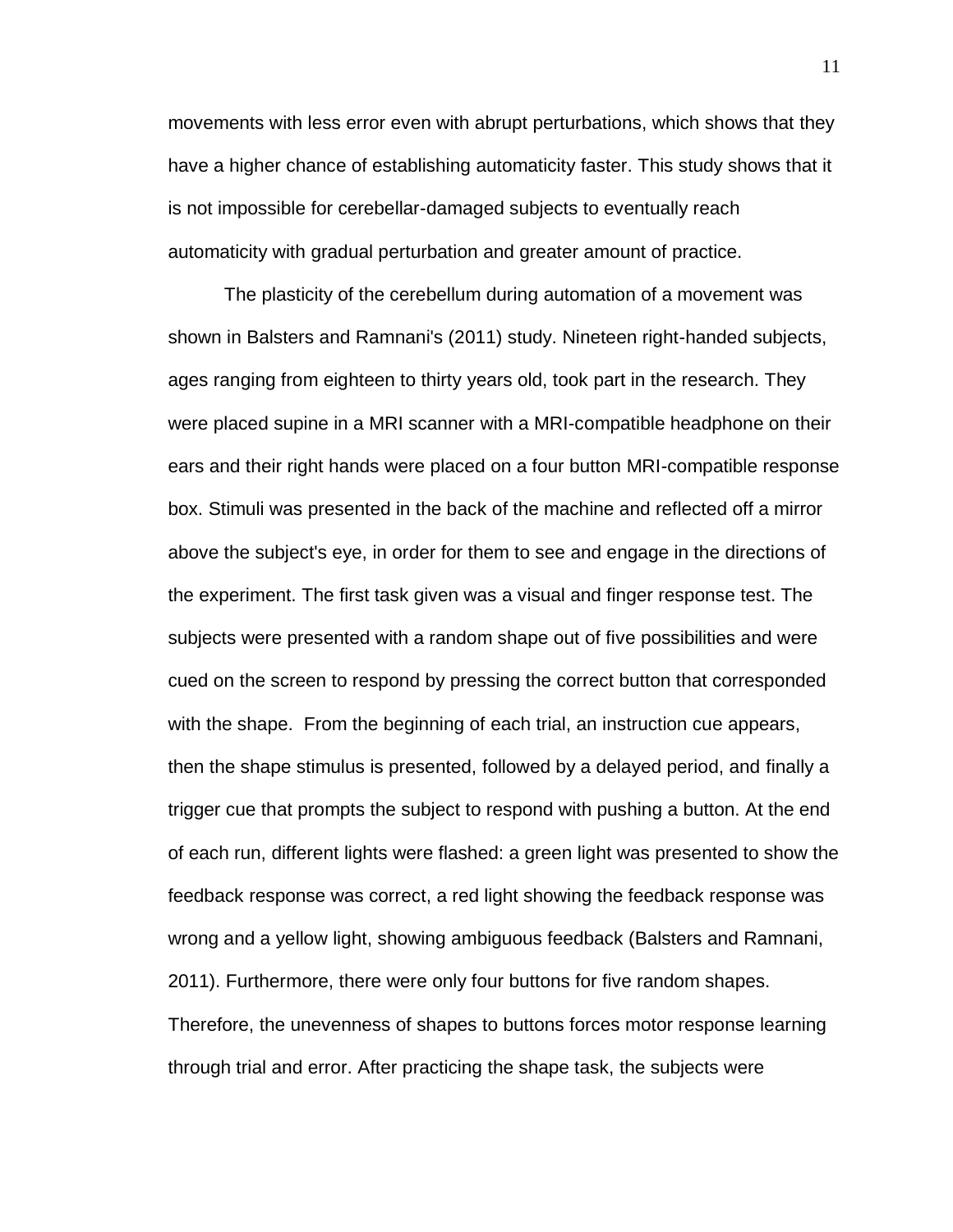movements with less error even with abrupt perturbations, which shows that they have a higher chance of establishing automaticity faster. This study shows that it is not impossible for cerebellar-damaged subjects to eventually reach automaticity with gradual perturbation and greater amount of practice.

The plasticity of the cerebellum during automation of a movement was shown in Balsters and Ramnani's (2011) study. Nineteen right-handed subjects, ages ranging from eighteen to thirty years old, took part in the research. They were placed supine in a MRI scanner with a MRI-compatible headphone on their ears and their right hands were placed on a four button MRI-compatible response box. Stimuli was presented in the back of the machine and reflected off a mirror above the subject's eye, in order for them to see and engage in the directions of the experiment. The first task given was a visual and finger response test. The subjects were presented with a random shape out of five possibilities and were cued on the screen to respond by pressing the correct button that corresponded with the shape. From the beginning of each trial, an instruction cue appears, then the shape stimulus is presented, followed by a delayed period, and finally a trigger cue that prompts the subject to respond with pushing a button. At the end of each run, different lights were flashed: a green light was presented to show the feedback response was correct, a red light showing the feedback response was wrong and a yellow light, showing ambiguous feedback (Balsters and Ramnani, 2011). Furthermore, there were only four buttons for five random shapes. Therefore, the unevenness of shapes to buttons forces motor response learning through trial and error. After practicing the shape task, the subjects were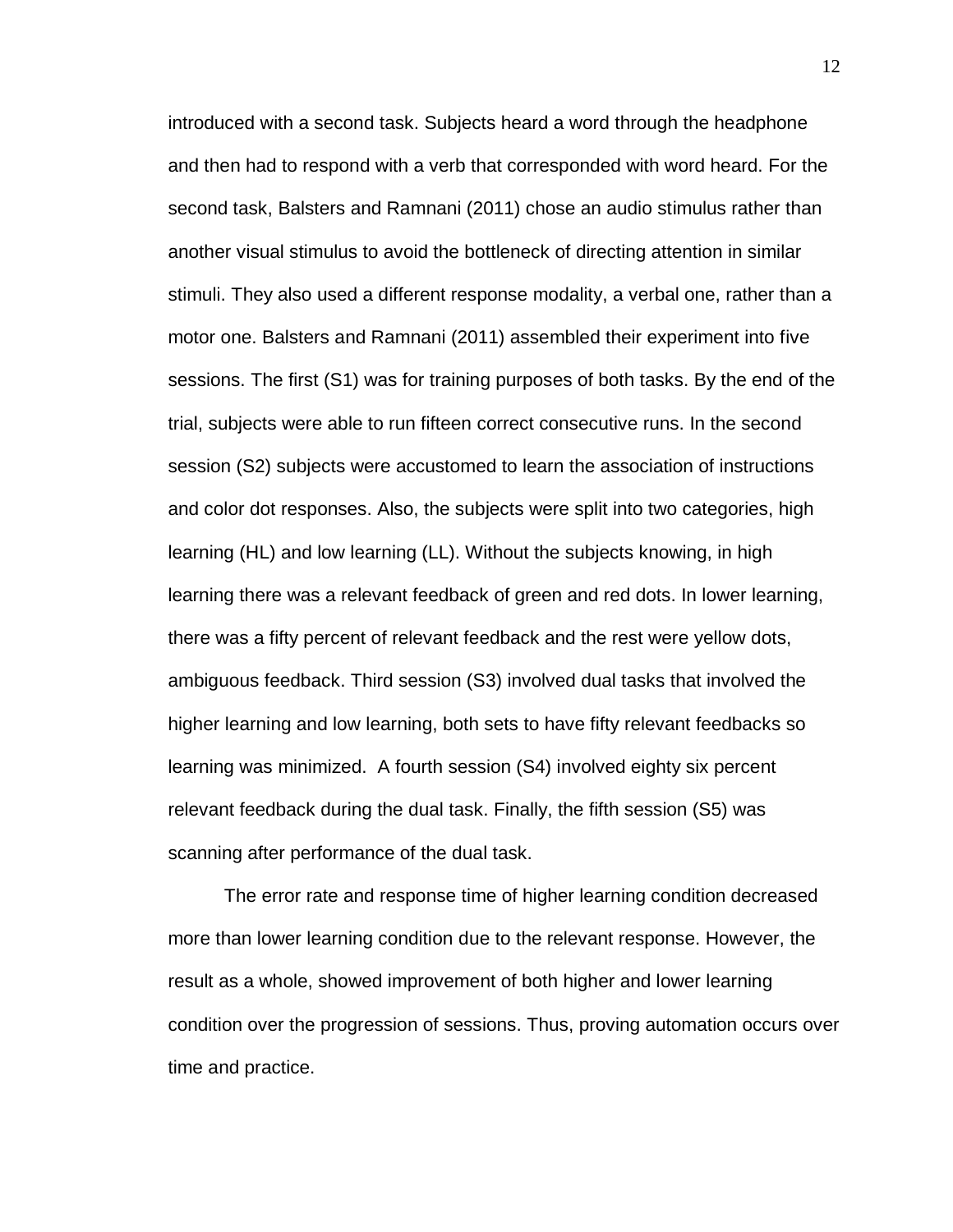introduced with a second task. Subjects heard a word through the headphone and then had to respond with a verb that corresponded with word heard. For the second task, Balsters and Ramnani (2011) chose an audio stimulus rather than another visual stimulus to avoid the bottleneck of directing attention in similar stimuli. They also used a different response modality, a verbal one, rather than a motor one. Balsters and Ramnani (2011) assembled their experiment into five sessions. The first (S1) was for training purposes of both tasks. By the end of the trial, subjects were able to run fifteen correct consecutive runs. In the second session (S2) subjects were accustomed to learn the association of instructions and color dot responses. Also, the subjects were split into two categories, high learning (HL) and low learning (LL). Without the subjects knowing, in high learning there was a relevant feedback of green and red dots. In lower learning, there was a fifty percent of relevant feedback and the rest were yellow dots, ambiguous feedback. Third session (S3) involved dual tasks that involved the higher learning and low learning, both sets to have fifty relevant feedbacks so learning was minimized. A fourth session (S4) involved eighty six percent relevant feedback during the dual task. Finally, the fifth session (S5) was scanning after performance of the dual task.

The error rate and response time of higher learning condition decreased more than lower learning condition due to the relevant response. However, the result as a whole, showed improvement of both higher and lower learning condition over the progression of sessions. Thus, proving automation occurs over time and practice.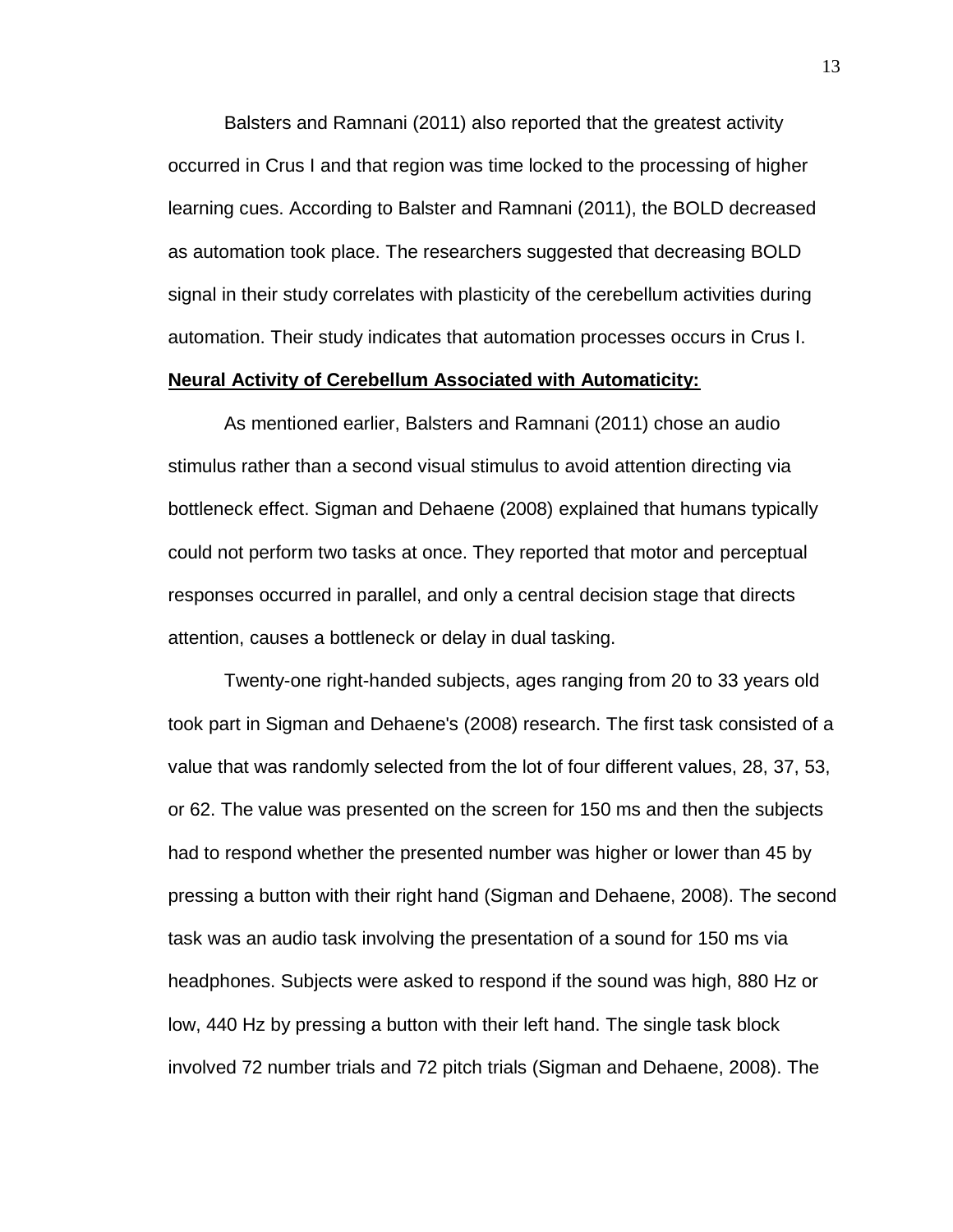Balsters and Ramnani (2011) also reported that the greatest activity occurred in Crus I and that region was time locked to the processing of higher learning cues. According to Balster and Ramnani (2011), the BOLD decreased as automation took place. The researchers suggested that decreasing BOLD signal in their study correlates with plasticity of the cerebellum activities during automation. Their study indicates that automation processes occurs in Crus I.

# **Neural Activity of Cerebellum Associated with Automaticity:**

As mentioned earlier, Balsters and Ramnani (2011) chose an audio stimulus rather than a second visual stimulus to avoid attention directing via bottleneck effect. Sigman and Dehaene (2008) explained that humans typically could not perform two tasks at once. They reported that motor and perceptual responses occurred in parallel, and only a central decision stage that directs attention, causes a bottleneck or delay in dual tasking.

Twenty-one right-handed subjects, ages ranging from 20 to 33 years old took part in Sigman and Dehaene's (2008) research. The first task consisted of a value that was randomly selected from the lot of four different values, 28, 37, 53, or 62. The value was presented on the screen for 150 ms and then the subjects had to respond whether the presented number was higher or lower than 45 by pressing a button with their right hand (Sigman and Dehaene, 2008). The second task was an audio task involving the presentation of a sound for 150 ms via headphones. Subjects were asked to respond if the sound was high, 880 Hz or low, 440 Hz by pressing a button with their left hand. The single task block involved 72 number trials and 72 pitch trials (Sigman and Dehaene, 2008). The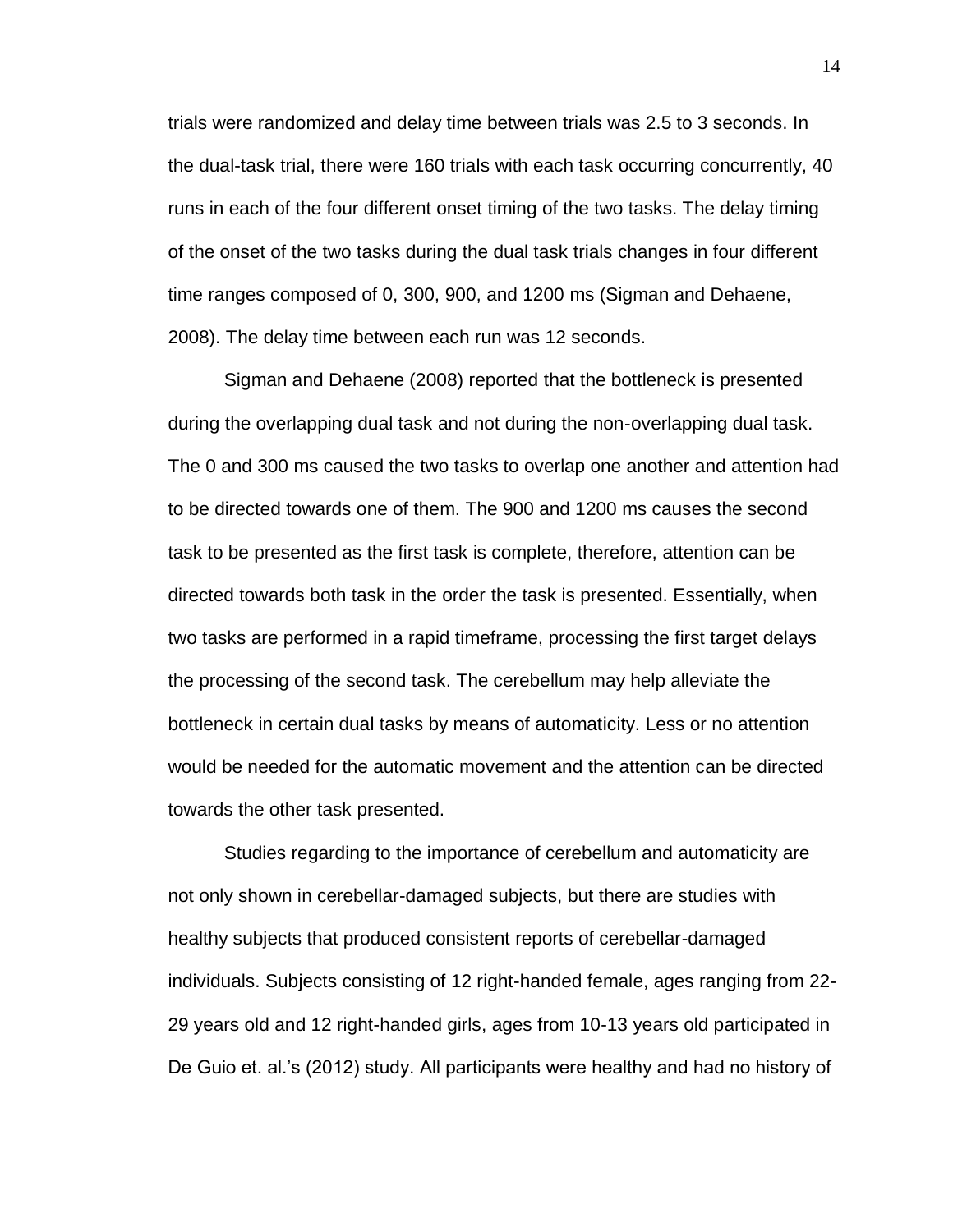trials were randomized and delay time between trials was 2.5 to 3 seconds. In the dual-task trial, there were 160 trials with each task occurring concurrently, 40 runs in each of the four different onset timing of the two tasks. The delay timing of the onset of the two tasks during the dual task trials changes in four different time ranges composed of 0, 300, 900, and 1200 ms (Sigman and Dehaene, 2008). The delay time between each run was 12 seconds.

Sigman and Dehaene (2008) reported that the bottleneck is presented during the overlapping dual task and not during the non-overlapping dual task. The 0 and 300 ms caused the two tasks to overlap one another and attention had to be directed towards one of them. The 900 and 1200 ms causes the second task to be presented as the first task is complete, therefore, attention can be directed towards both task in the order the task is presented. Essentially, when two tasks are performed in a rapid timeframe, processing the first target delays the processing of the second task. The cerebellum may help alleviate the bottleneck in certain dual tasks by means of automaticity. Less or no attention would be needed for the automatic movement and the attention can be directed towards the other task presented.

Studies regarding to the importance of cerebellum and automaticity are not only shown in cerebellar-damaged subjects, but there are studies with healthy subjects that produced consistent reports of cerebellar-damaged individuals. Subjects consisting of 12 right-handed female, ages ranging from 22- 29 years old and 12 right-handed girls, ages from 10-13 years old participated in De Guio et. al.'s (2012) study. All participants were healthy and had no history of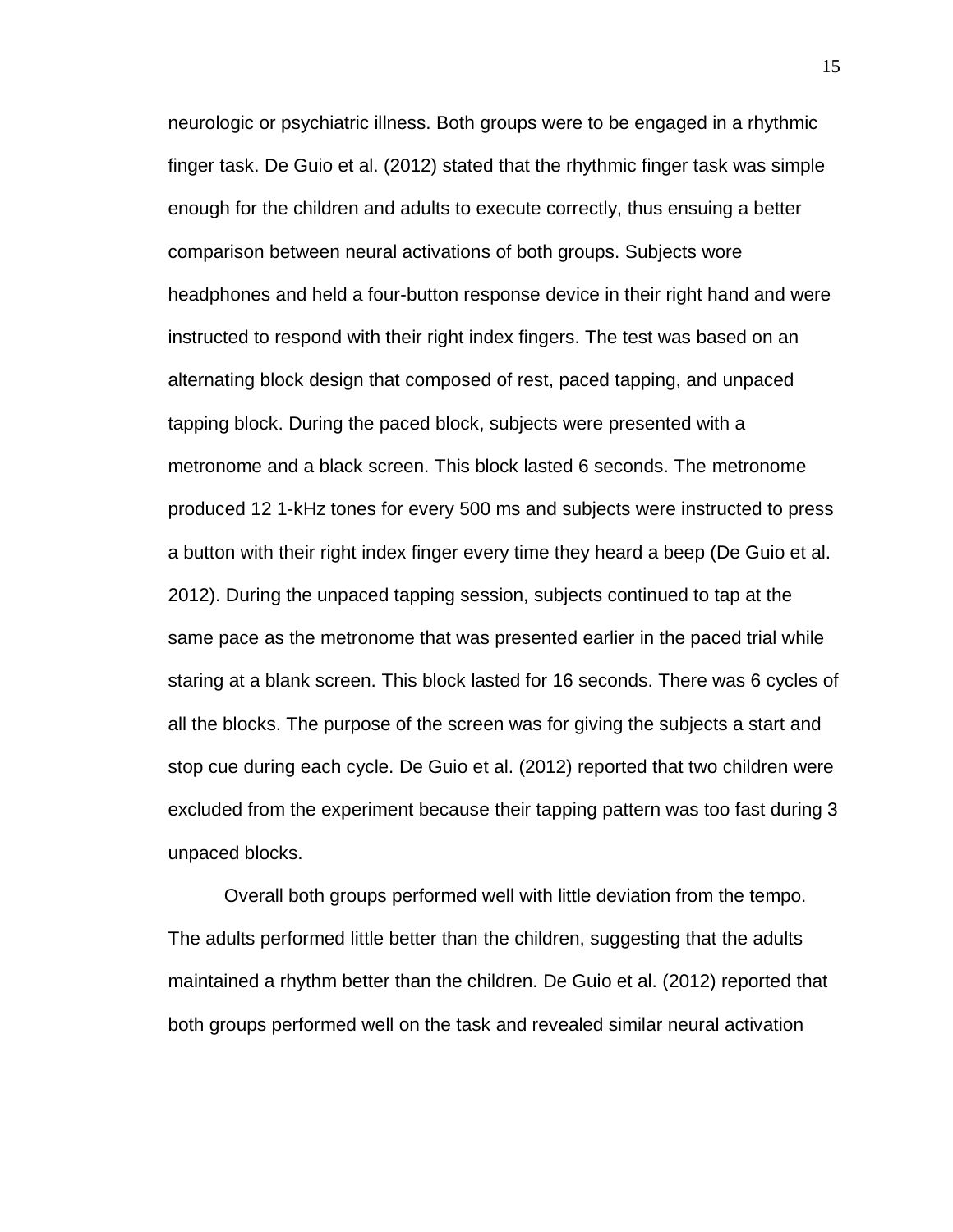neurologic or psychiatric illness. Both groups were to be engaged in a rhythmic finger task. De Guio et al. (2012) stated that the rhythmic finger task was simple enough for the children and adults to execute correctly, thus ensuing a better comparison between neural activations of both groups. Subjects wore headphones and held a four-button response device in their right hand and were instructed to respond with their right index fingers. The test was based on an alternating block design that composed of rest, paced tapping, and unpaced tapping block. During the paced block, subjects were presented with a metronome and a black screen. This block lasted 6 seconds. The metronome produced 12 1-kHz tones for every 500 ms and subjects were instructed to press a button with their right index finger every time they heard a beep (De Guio et al. 2012). During the unpaced tapping session, subjects continued to tap at the same pace as the metronome that was presented earlier in the paced trial while staring at a blank screen. This block lasted for 16 seconds. There was 6 cycles of all the blocks. The purpose of the screen was for giving the subjects a start and stop cue during each cycle. De Guio et al. (2012) reported that two children were excluded from the experiment because their tapping pattern was too fast during 3 unpaced blocks.

Overall both groups performed well with little deviation from the tempo. The adults performed little better than the children, suggesting that the adults maintained a rhythm better than the children. De Guio et al. (2012) reported that both groups performed well on the task and revealed similar neural activation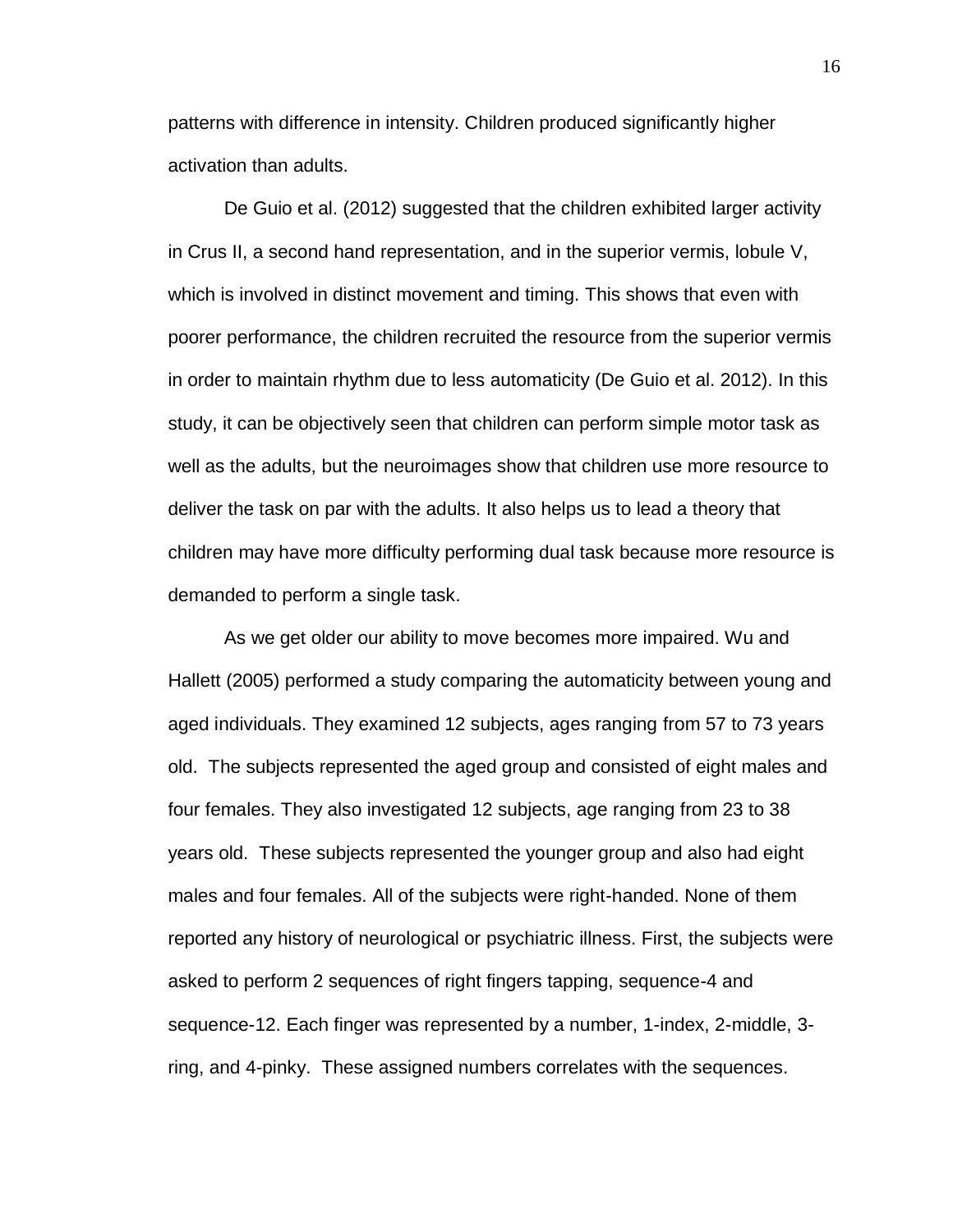patterns with difference in intensity. Children produced significantly higher activation than adults.

De Guio et al. (2012) suggested that the children exhibited larger activity in Crus II, a second hand representation, and in the superior vermis, lobule V, which is involved in distinct movement and timing. This shows that even with poorer performance, the children recruited the resource from the superior vermis in order to maintain rhythm due to less automaticity (De Guio et al. 2012). In this study, it can be objectively seen that children can perform simple motor task as well as the adults, but the neuroimages show that children use more resource to deliver the task on par with the adults. It also helps us to lead a theory that children may have more difficulty performing dual task because more resource is demanded to perform a single task.

As we get older our ability to move becomes more impaired. Wu and Hallett (2005) performed a study comparing the automaticity between young and aged individuals. They examined 12 subjects, ages ranging from 57 to 73 years old. The subjects represented the aged group and consisted of eight males and four females. They also investigated 12 subjects, age ranging from 23 to 38 years old. These subjects represented the younger group and also had eight males and four females. All of the subjects were right-handed. None of them reported any history of neurological or psychiatric illness. First, the subjects were asked to perform 2 sequences of right fingers tapping, sequence-4 and sequence-12. Each finger was represented by a number, 1-index, 2-middle, 3 ring, and 4-pinky. These assigned numbers correlates with the sequences.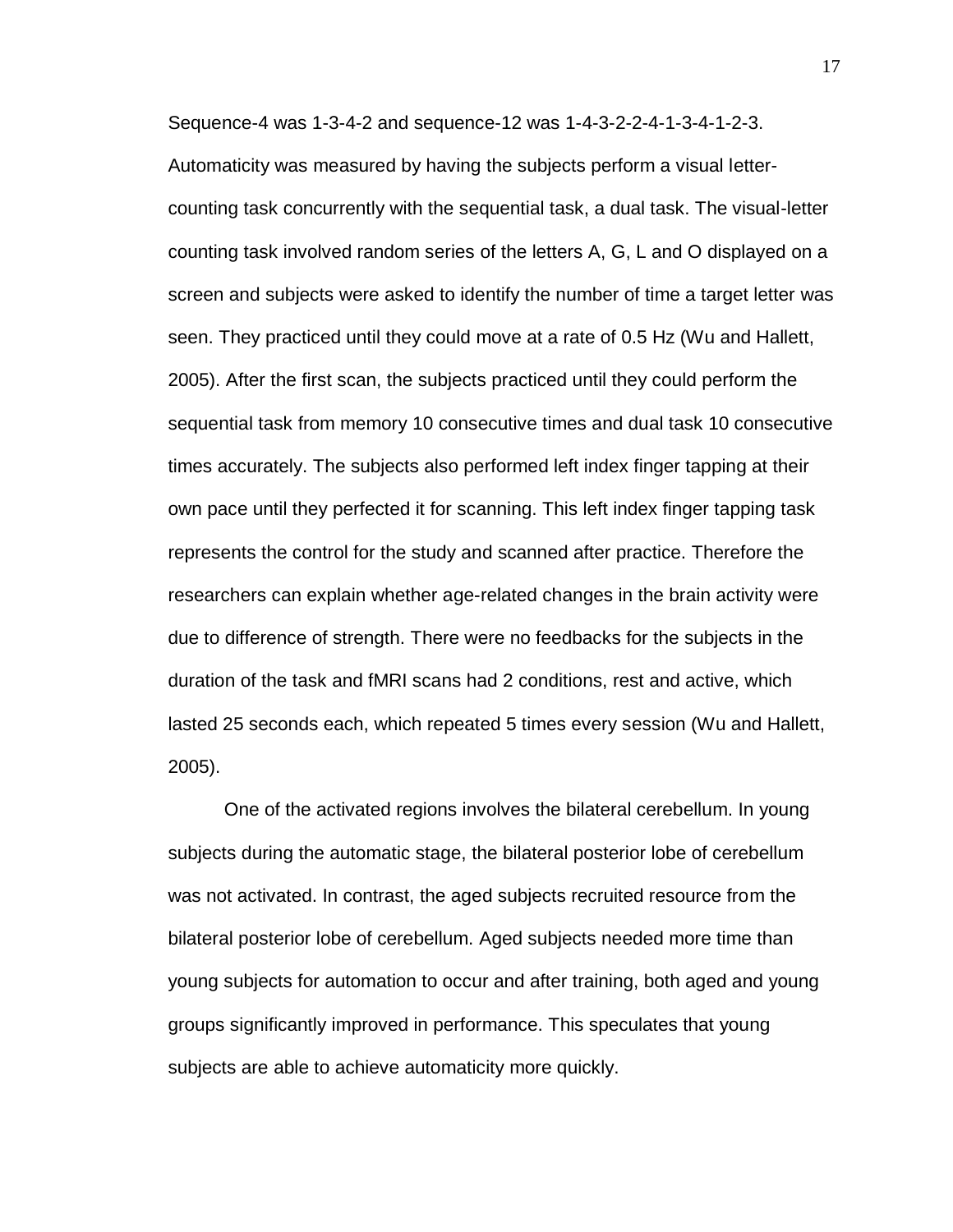Sequence-4 was 1-3-4-2 and sequence-12 was 1-4-3-2-2-4-1-3-4-1-2-3. Automaticity was measured by having the subjects perform a visual lettercounting task concurrently with the sequential task, a dual task. The visual-letter counting task involved random series of the letters A, G, L and O displayed on a screen and subjects were asked to identify the number of time a target letter was seen. They practiced until they could move at a rate of 0.5 Hz (Wu and Hallett, 2005). After the first scan, the subjects practiced until they could perform the sequential task from memory 10 consecutive times and dual task 10 consecutive times accurately. The subjects also performed left index finger tapping at their own pace until they perfected it for scanning. This left index finger tapping task represents the control for the study and scanned after practice. Therefore the researchers can explain whether age-related changes in the brain activity were due to difference of strength. There were no feedbacks for the subjects in the duration of the task and fMRI scans had 2 conditions, rest and active, which lasted 25 seconds each, which repeated 5 times every session (Wu and Hallett, 2005).

One of the activated regions involves the bilateral cerebellum. In young subjects during the automatic stage, the bilateral posterior lobe of cerebellum was not activated. In contrast, the aged subjects recruited resource from the bilateral posterior lobe of cerebellum. Aged subjects needed more time than young subjects for automation to occur and after training, both aged and young groups significantly improved in performance. This speculates that young subjects are able to achieve automaticity more quickly.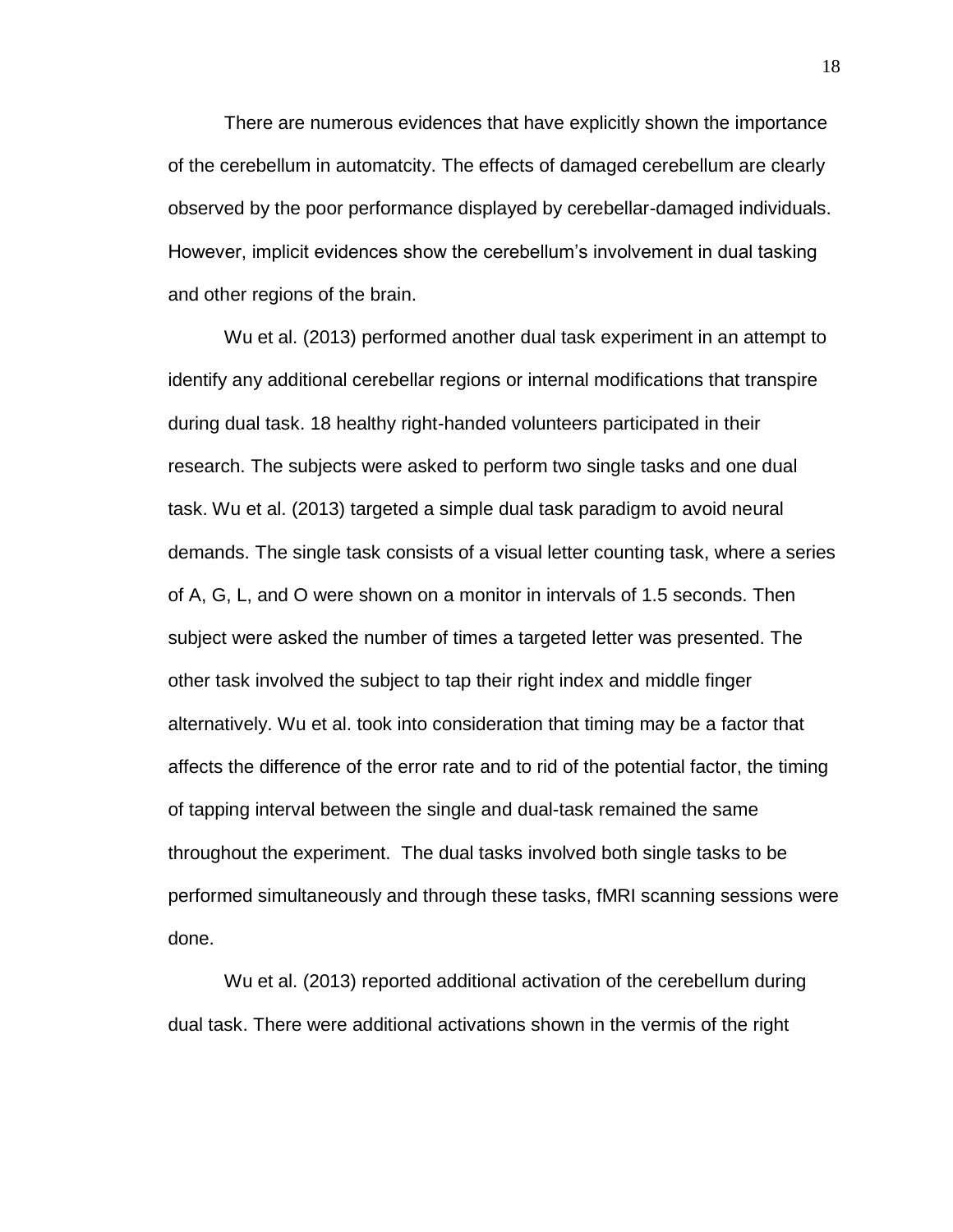There are numerous evidences that have explicitly shown the importance of the cerebellum in automatcity. The effects of damaged cerebellum are clearly observed by the poor performance displayed by cerebellar-damaged individuals. However, implicit evidences show the cerebellum's involvement in dual tasking and other regions of the brain.

Wu et al. (2013) performed another dual task experiment in an attempt to identify any additional cerebellar regions or internal modifications that transpire during dual task. 18 healthy right-handed volunteers participated in their research. The subjects were asked to perform two single tasks and one dual task. Wu et al. (2013) targeted a simple dual task paradigm to avoid neural demands. The single task consists of a visual letter counting task, where a series of A, G, L, and O were shown on a monitor in intervals of 1.5 seconds. Then subject were asked the number of times a targeted letter was presented. The other task involved the subject to tap their right index and middle finger alternatively. Wu et al. took into consideration that timing may be a factor that affects the difference of the error rate and to rid of the potential factor, the timing of tapping interval between the single and dual-task remained the same throughout the experiment. The dual tasks involved both single tasks to be performed simultaneously and through these tasks, fMRI scanning sessions were done.

Wu et al. (2013) reported additional activation of the cerebellum during dual task. There were additional activations shown in the vermis of the right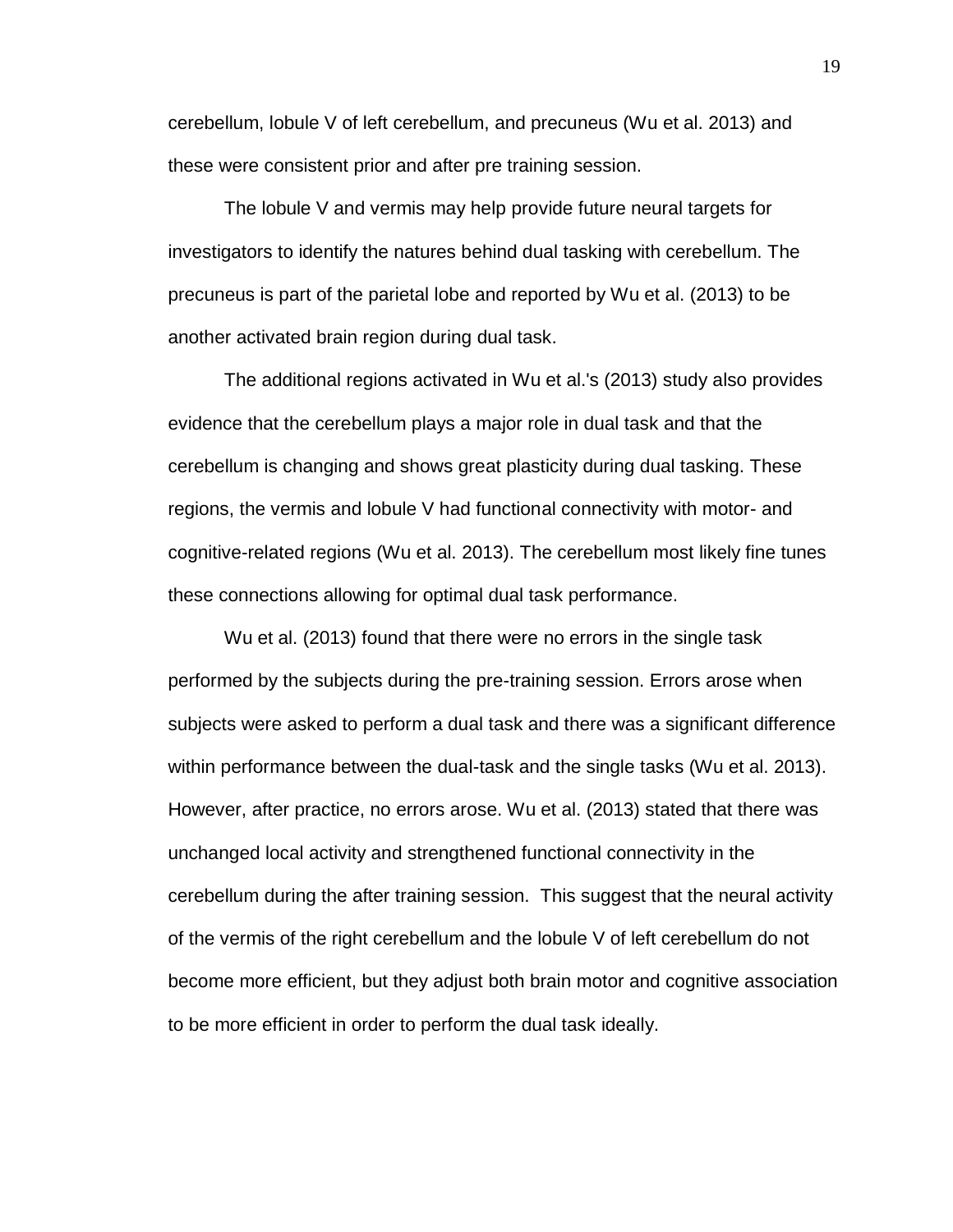cerebellum, lobule V of left cerebellum, and precuneus (Wu et al. 2013) and these were consistent prior and after pre training session.

The lobule V and vermis may help provide future neural targets for investigators to identify the natures behind dual tasking with cerebellum. The precuneus is part of the parietal lobe and reported by Wu et al. (2013) to be another activated brain region during dual task.

The additional regions activated in Wu et al.'s (2013) study also provides evidence that the cerebellum plays a major role in dual task and that the cerebellum is changing and shows great plasticity during dual tasking. These regions, the vermis and lobule V had functional connectivity with motor- and cognitive-related regions (Wu et al. 2013). The cerebellum most likely fine tunes these connections allowing for optimal dual task performance.

Wu et al. (2013) found that there were no errors in the single task performed by the subjects during the pre-training session. Errors arose when subjects were asked to perform a dual task and there was a significant difference within performance between the dual-task and the single tasks (Wu et al. 2013). However, after practice, no errors arose. Wu et al. (2013) stated that there was unchanged local activity and strengthened functional connectivity in the cerebellum during the after training session. This suggest that the neural activity of the vermis of the right cerebellum and the lobule V of left cerebellum do not become more efficient, but they adjust both brain motor and cognitive association to be more efficient in order to perform the dual task ideally.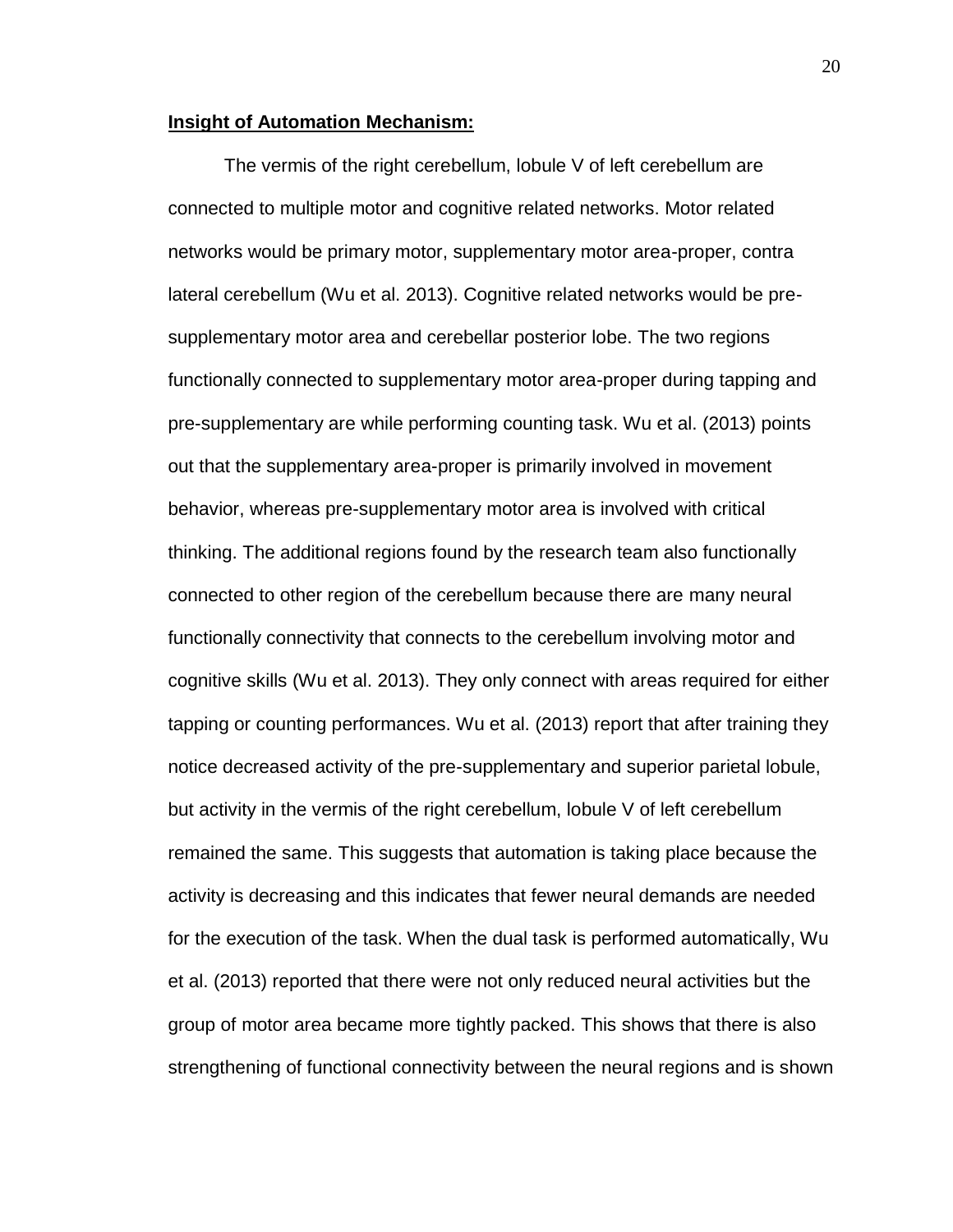## **Insight of Automation Mechanism:**

The vermis of the right cerebellum, lobule V of left cerebellum are connected to multiple motor and cognitive related networks. Motor related networks would be primary motor, supplementary motor area-proper, contra lateral cerebellum (Wu et al. 2013). Cognitive related networks would be presupplementary motor area and cerebellar posterior lobe. The two regions functionally connected to supplementary motor area-proper during tapping and pre-supplementary are while performing counting task. Wu et al. (2013) points out that the supplementary area-proper is primarily involved in movement behavior, whereas pre-supplementary motor area is involved with critical thinking. The additional regions found by the research team also functionally connected to other region of the cerebellum because there are many neural functionally connectivity that connects to the cerebellum involving motor and cognitive skills (Wu et al. 2013). They only connect with areas required for either tapping or counting performances. Wu et al. (2013) report that after training they notice decreased activity of the pre-supplementary and superior parietal lobule, but activity in the vermis of the right cerebellum, lobule V of left cerebellum remained the same. This suggests that automation is taking place because the activity is decreasing and this indicates that fewer neural demands are needed for the execution of the task. When the dual task is performed automatically, Wu et al. (2013) reported that there were not only reduced neural activities but the group of motor area became more tightly packed. This shows that there is also strengthening of functional connectivity between the neural regions and is shown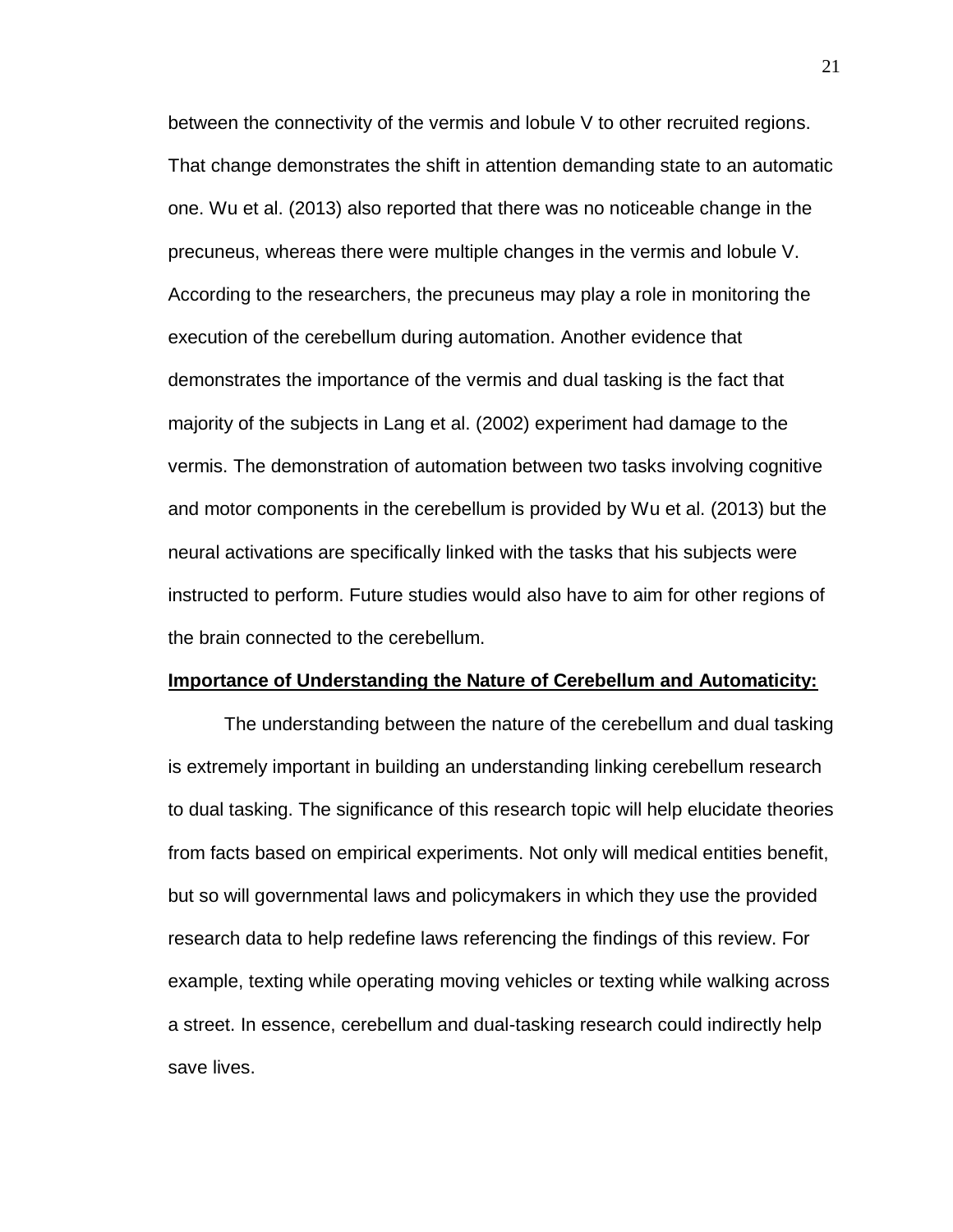between the connectivity of the vermis and lobule V to other recruited regions. That change demonstrates the shift in attention demanding state to an automatic one. Wu et al. (2013) also reported that there was no noticeable change in the precuneus, whereas there were multiple changes in the vermis and lobule V. According to the researchers, the precuneus may play a role in monitoring the execution of the cerebellum during automation. Another evidence that demonstrates the importance of the vermis and dual tasking is the fact that majority of the subjects in Lang et al. (2002) experiment had damage to the vermis. The demonstration of automation between two tasks involving cognitive and motor components in the cerebellum is provided by Wu et al. (2013) but the neural activations are specifically linked with the tasks that his subjects were instructed to perform. Future studies would also have to aim for other regions of the brain connected to the cerebellum.

#### **Importance of Understanding the Nature of Cerebellum and Automaticity:**

The understanding between the nature of the cerebellum and dual tasking is extremely important in building an understanding linking cerebellum research to dual tasking. The significance of this research topic will help elucidate theories from facts based on empirical experiments. Not only will medical entities benefit, but so will governmental laws and policymakers in which they use the provided research data to help redefine laws referencing the findings of this review. For example, texting while operating moving vehicles or texting while walking across a street. In essence, cerebellum and dual-tasking research could indirectly help save lives.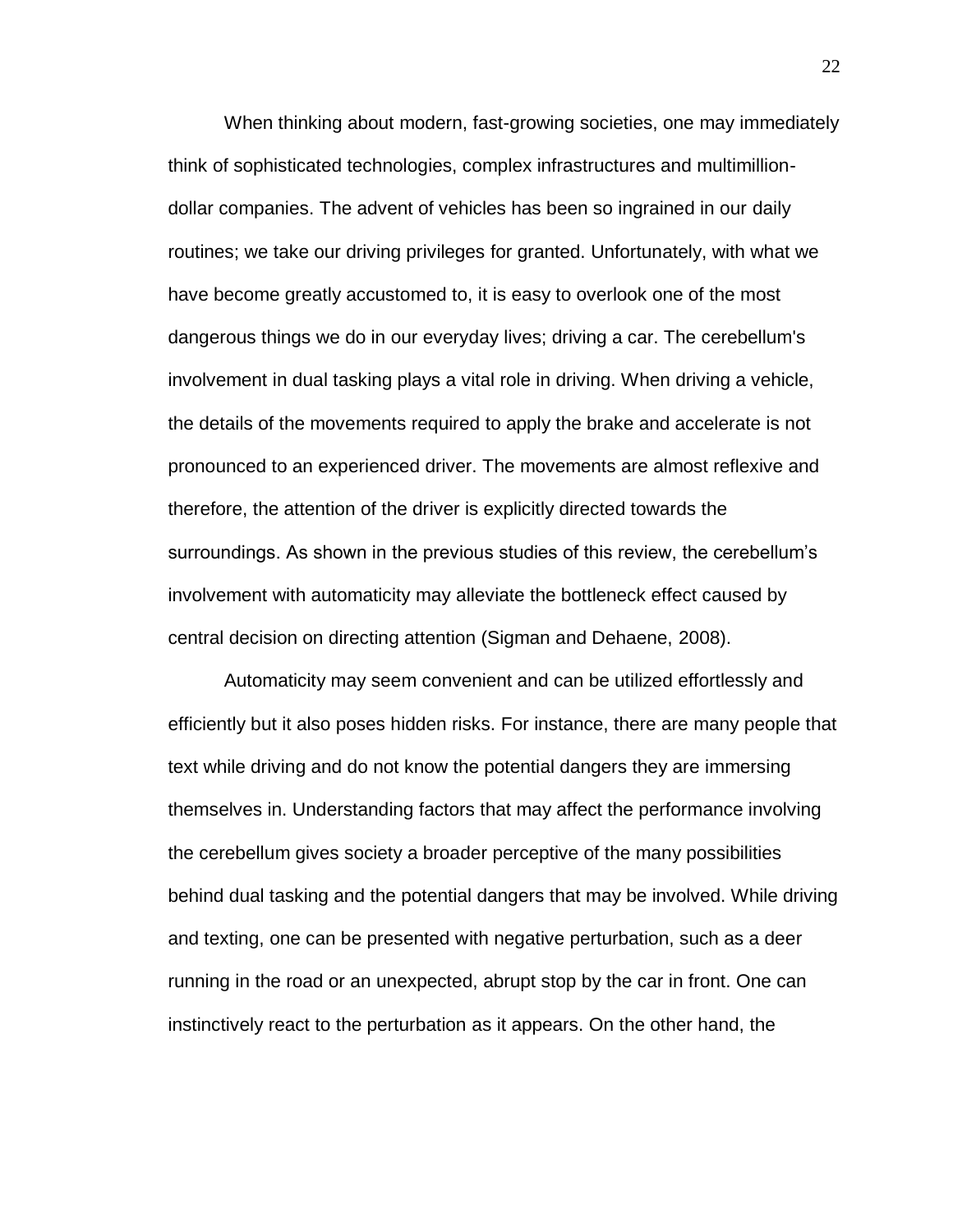When thinking about modern, fast-growing societies, one may immediately think of sophisticated technologies, complex infrastructures and multimilliondollar companies. The advent of vehicles has been so ingrained in our daily routines; we take our driving privileges for granted. Unfortunately, with what we have become greatly accustomed to, it is easy to overlook one of the most dangerous things we do in our everyday lives; driving a car. The cerebellum's involvement in dual tasking plays a vital role in driving. When driving a vehicle, the details of the movements required to apply the brake and accelerate is not pronounced to an experienced driver. The movements are almost reflexive and therefore, the attention of the driver is explicitly directed towards the surroundings. As shown in the previous studies of this review, the cerebellum's involvement with automaticity may alleviate the bottleneck effect caused by central decision on directing attention (Sigman and Dehaene, 2008).

Automaticity may seem convenient and can be utilized effortlessly and efficiently but it also poses hidden risks. For instance, there are many people that text while driving and do not know the potential dangers they are immersing themselves in. Understanding factors that may affect the performance involving the cerebellum gives society a broader perceptive of the many possibilities behind dual tasking and the potential dangers that may be involved. While driving and texting, one can be presented with negative perturbation, such as a deer running in the road or an unexpected, abrupt stop by the car in front. One can instinctively react to the perturbation as it appears. On the other hand, the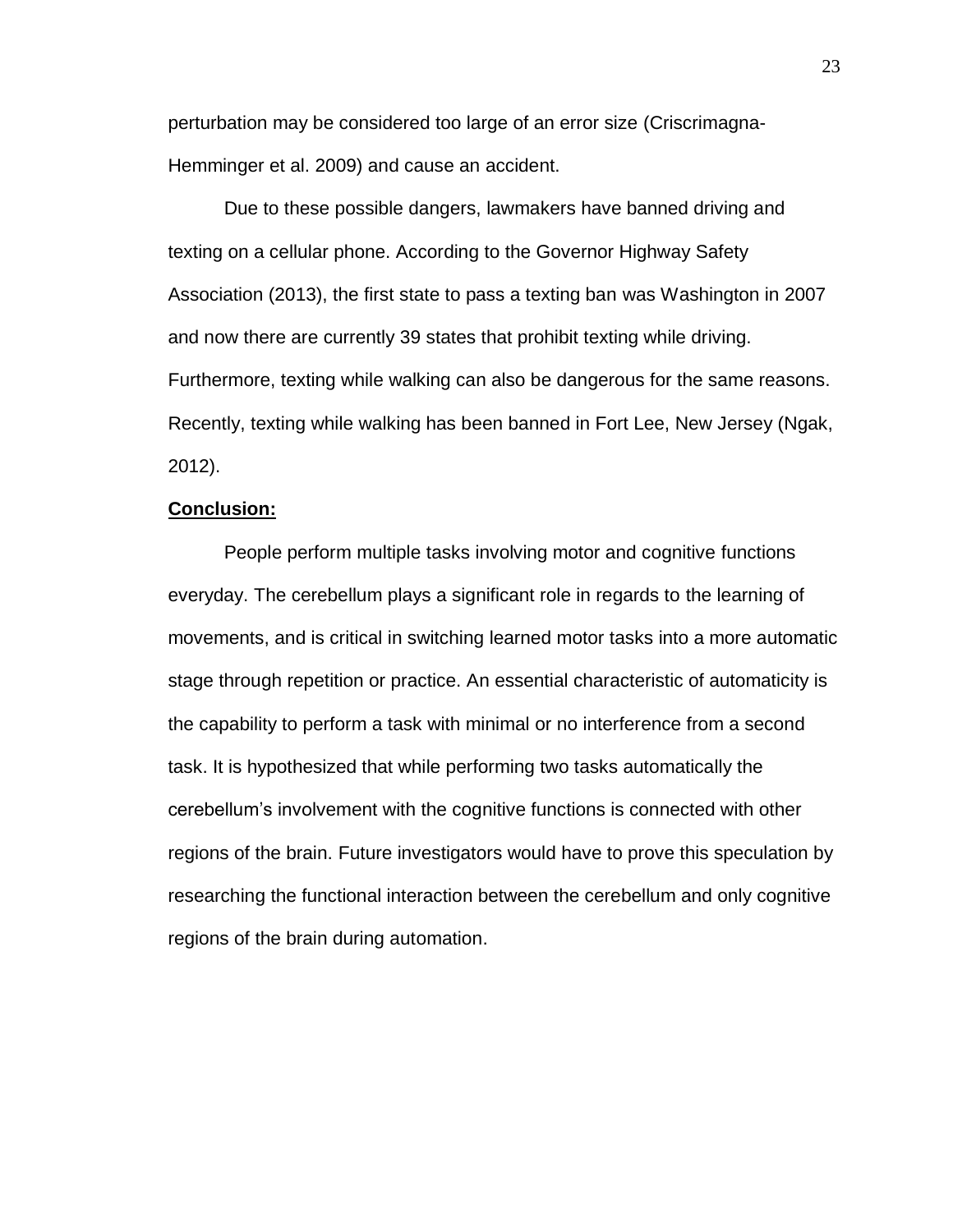perturbation may be considered too large of an error size (Criscrimagna-Hemminger et al. 2009) and cause an accident.

Due to these possible dangers, lawmakers have banned driving and texting on a cellular phone. According to the Governor Highway Safety Association (2013), the first state to pass a texting ban was Washington in 2007 and now there are currently 39 states that prohibit texting while driving. Furthermore, texting while walking can also be dangerous for the same reasons. Recently, texting while walking has been banned in Fort Lee, New Jersey (Ngak, 2012).

## **Conclusion:**

People perform multiple tasks involving motor and cognitive functions everyday. The cerebellum plays a significant role in regards to the learning of movements, and is critical in switching learned motor tasks into a more automatic stage through repetition or practice. An essential characteristic of automaticity is the capability to perform a task with minimal or no interference from a second task. It is hypothesized that while performing two tasks automatically the cerebellum's involvement with the cognitive functions is connected with other regions of the brain. Future investigators would have to prove this speculation by researching the functional interaction between the cerebellum and only cognitive regions of the brain during automation.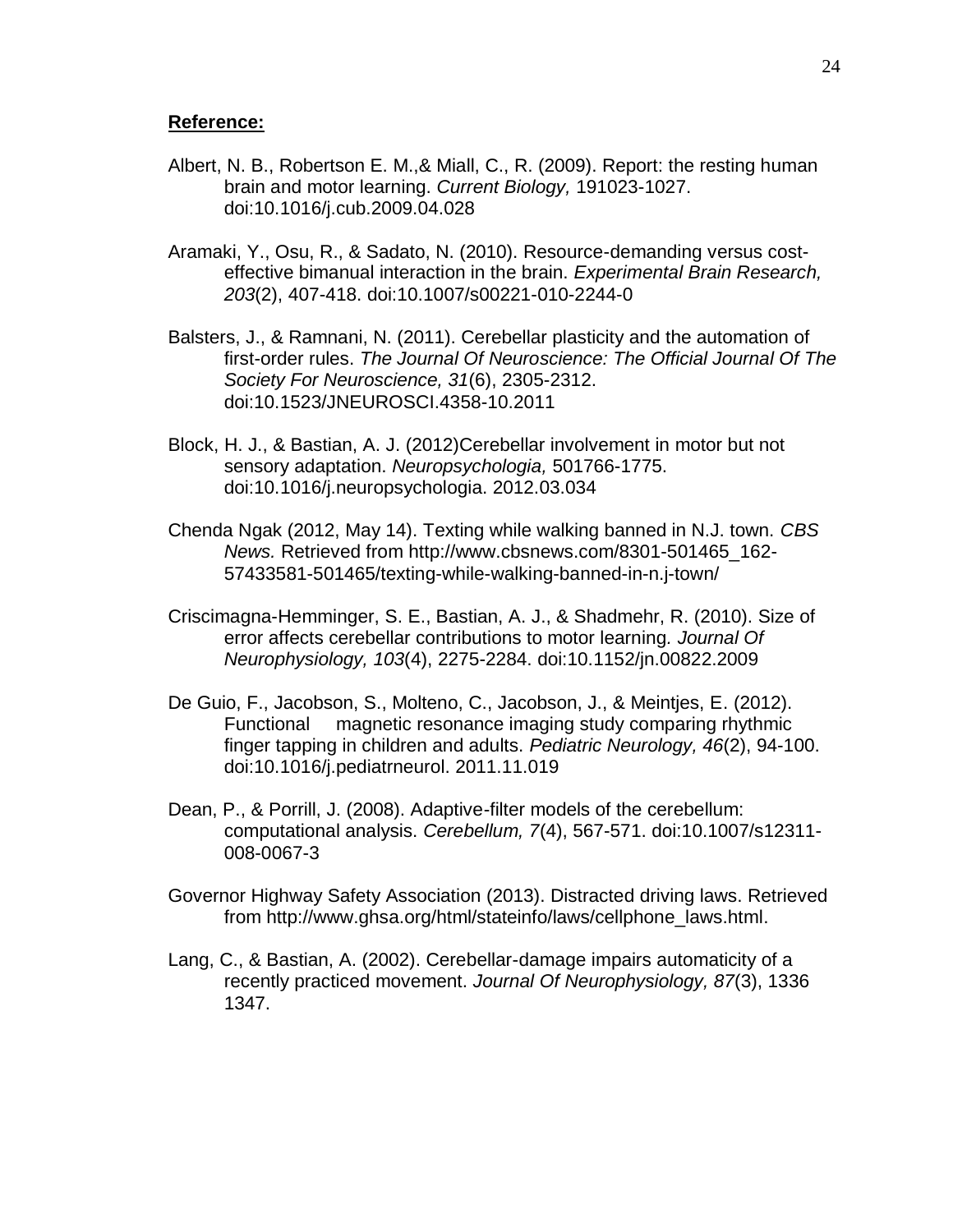# **Reference:**

- Albert, N. B., Robertson E. M.,& Miall, C., R. (2009). Report: the resting human brain and motor learning. *Current Biology,* 191023-1027. doi:10.1016/j.cub.2009.04.028
- Aramaki, Y., Osu, R., & Sadato, N. (2010). Resource-demanding versus costeffective bimanual interaction in the brain. *Experimental Brain Research, 203*(2), 407-418. doi:10.1007/s00221-010-2244-0
- Balsters, J., & Ramnani, N. (2011). Cerebellar plasticity and the automation of first-order rules. *The Journal Of Neuroscience: The Official Journal Of The Society For Neuroscience, 31*(6), 2305-2312. doi:10.1523/JNEUROSCI.4358-10.2011
- Block, H. J., & Bastian, A. J. (2012)Cerebellar involvement in motor but not sensory adaptation. *Neuropsychologia,* 501766-1775. doi:10.1016/j.neuropsychologia. 2012.03.034
- Chenda Ngak (2012, May 14). Texting while walking banned in N.J. town. *CBS News.* Retrieved from http://www.cbsnews.com/8301-501465\_162- 57433581-501465/texting-while-walking-banned-in-n.j-town/
- Criscimagna-Hemminger, S. E., Bastian, A. J., & Shadmehr, R. (2010). Size of error affects cerebellar contributions to motor learning*. Journal Of Neurophysiology, 103*(4), 2275-2284. doi:10.1152/jn.00822.2009
- De Guio, F., Jacobson, S., Molteno, C., Jacobson, J., & Meintjes, E. (2012). Functional magnetic resonance imaging study comparing rhythmic finger tapping in children and adults. *Pediatric Neurology, 46*(2), 94-100. doi:10.1016/j.pediatrneurol. 2011.11.019
- Dean, P., & Porrill, J. (2008). Adaptive-filter models of the cerebellum: computational analysis. *Cerebellum, 7*(4), 567-571. doi:10.1007/s12311- 008-0067-3
- Governor Highway Safety Association (2013). Distracted driving laws. Retrieved from [http://www.ghsa.org/html/stateinfo/laws/cellphone\\_laws.html.](http://www.ghsa.org/html/stateinfo/laws/cellphone_laws.html)
- Lang, C., & Bastian, A. (2002). Cerebellar-damage impairs automaticity of a recently practiced movement. *Journal Of Neurophysiology, 87*(3), 1336 1347.